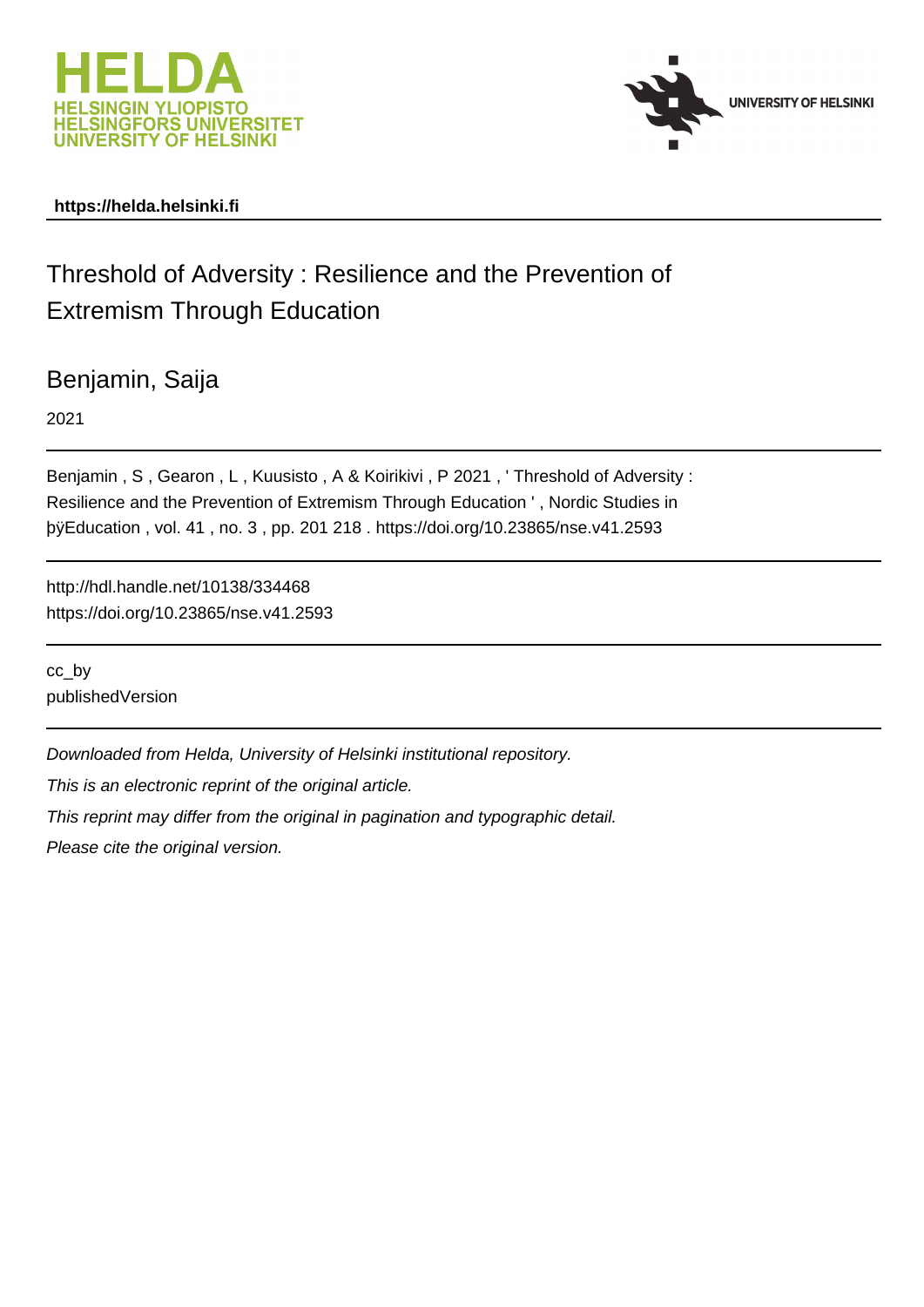



# **https://helda.helsinki.fi**

# Threshold of Adversity : Resilience and the Prevention of Extremism Through Education

Benjamin, Saija

2021

Benjamin , S , Gearon , L , Kuusisto , A & Koirikivi , P 2021 , ' Threshold of Adversity : Resilience and the Prevention of Extremism Through Education ' , Nordic Studies in þÿEducation , vol. 41 , no. 3 , pp. 201 218 . https://doi.org/10.23865/nse.v41.2593

http://hdl.handle.net/10138/334468 https://doi.org/10.23865/nse.v41.2593

cc\_by publishedVersion

Downloaded from Helda, University of Helsinki institutional repository.

This is an electronic reprint of the original article.

This reprint may differ from the original in pagination and typographic detail.

Please cite the original version.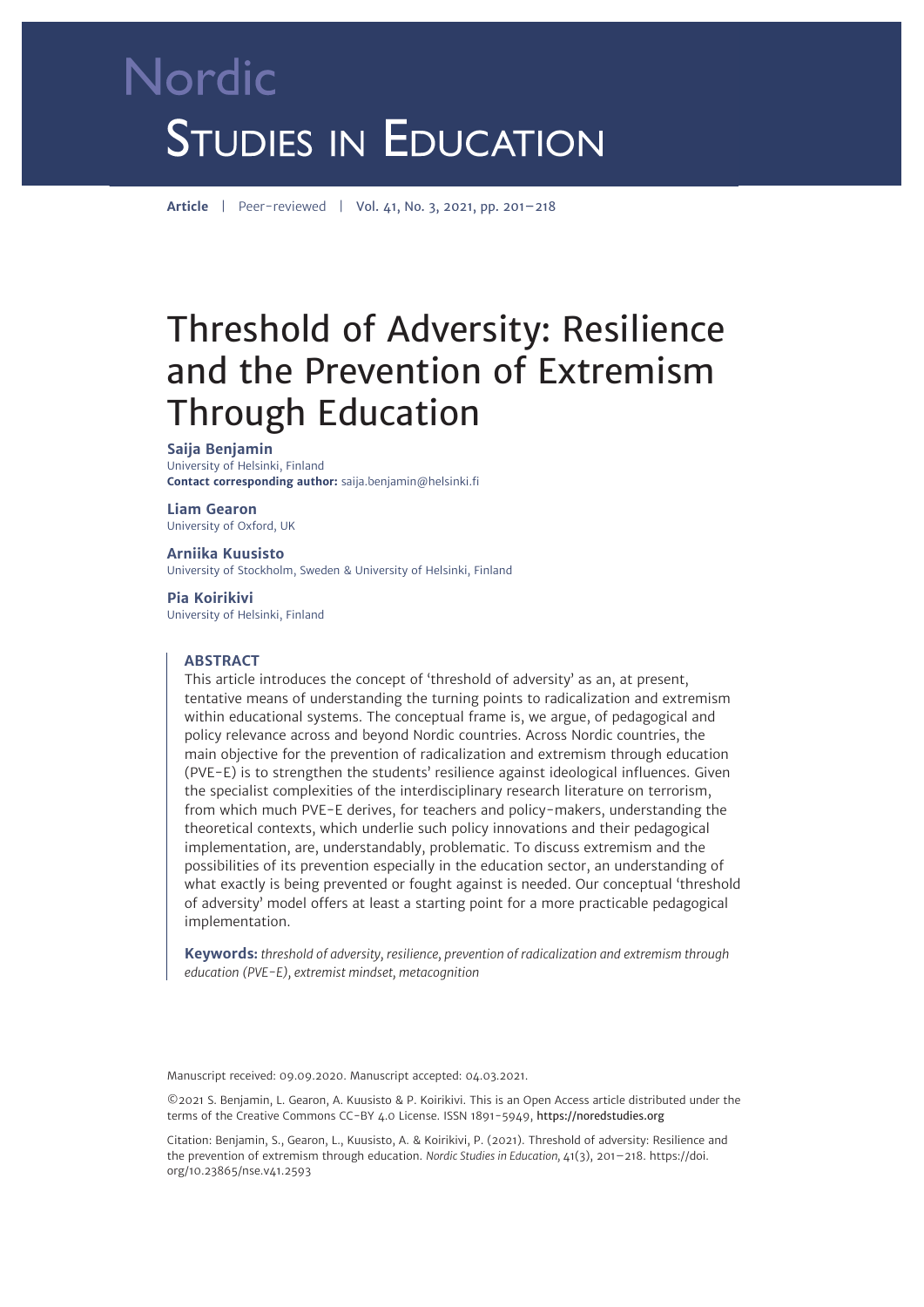# Nordic **STUDIES IN EDUCATION**

**Article** | Peer-reviewed | Vol. 41, No. 3, 2021, pp. 201–218

# Threshold of Adversity: Resilience and the Prevention of Extremism Through Education

#### **Saija Benjamin**

University of Helsinki, Finland **Contact corresponding author:** saija.benjamin@helsinki.fi

#### **Liam Gearon**

University of Oxford, UK

**Arniika Kuusisto** University of Stockholm, Sweden & University of Helsinki, Finland

#### **Pia Koirikivi**

University of Helsinki, Finland

#### **ABSTRACT**

This article introduces the concept of 'threshold of adversity' as an, at present, tentative means of understanding the turning points to radicalization and extremism within educational systems. The conceptual frame is, we argue, of pedagogical and policy relevance across and beyond Nordic countries. Across Nordic countries, the main objective for the prevention of radicalization and extremism through education (PVE-E) is to strengthen the students' resilience against ideological influences. Given the specialist complexities of the interdisciplinary research literature on terrorism, from which much PVE-E derives, for teachers and policy-makers, understanding the theoretical contexts, which underlie such policy innovations and their pedagogical implementation, are, understandably, problematic. To discuss extremism and the possibilities of its prevention especially in the education sector, an understanding of what exactly is being prevented or fought against is needed. Our conceptual 'threshold of adversity' model offers at least a starting point for a more practicable pedagogical implementation.

**Keywords:** *threshold of adversity, resilience, prevention of radicalization and extremism through education (PVE-E), extremist mindset, metacognition*

Manuscript received: 09.09.2020. Manuscript accepted: 04.03.2021.

©2021 S. Benjamin, L. Gearon, A. Kuusisto & P. Koirikivi. This is an Open Access article distributed under the terms of the Creative Commons CC-BY 4.0 License. ISSN 1891-5949, https://noredstudies.org

Citation: Benjamin, S., Gearon, L., Kuusisto, A. & Koirikivi, P. (2021). Threshold of adversity: Resilience and the prevention of extremism through education. *Nordic Studies in Education,* 41(3), 201–218. [https://doi.](https://doi.org/10.23865/nse.v41.2593) [org/10.23865/nse.v41.2593](https://doi.org/10.23865/nse.v41.2593)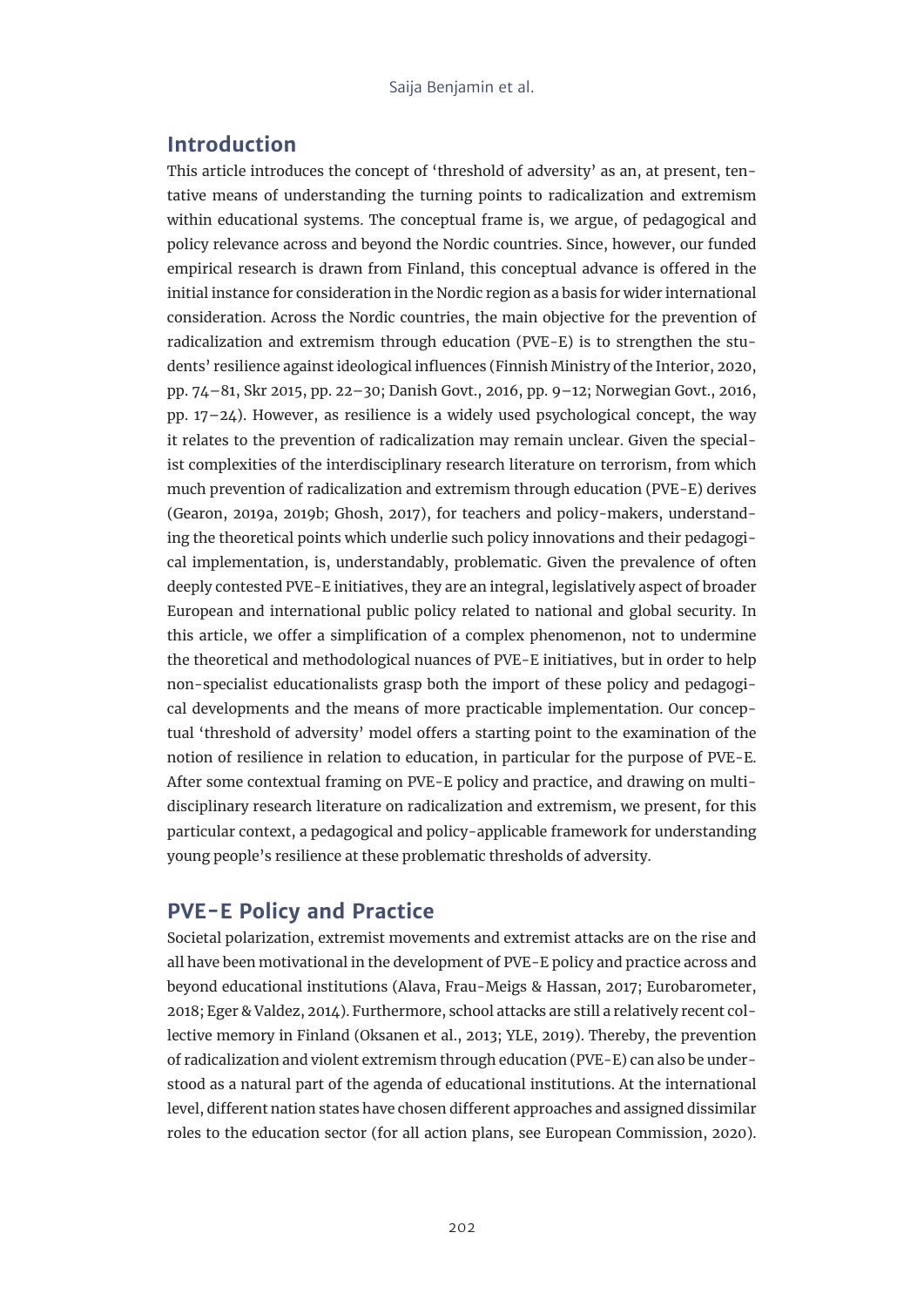# **Introduction**

This article introduces the concept of 'threshold of adversity' as an, at present, tentative means of understanding the turning points to radicalization and extremism within educational systems. The conceptual frame is, we argue, of pedagogical and policy relevance across and beyond the Nordic countries. Since, however, our funded empirical research is drawn from Finland, this conceptual advance is offered in the initial instance for consideration in the Nordic region as a basis for wider international consideration. Across the Nordic countries, the main objective for the prevention of radicalization and extremism through education (PVE-E) is to strengthen the students' resilience against ideological influences (Finnish Ministry of the Interior, 2020, pp. 74–81, Skr 2015, pp. 22–30; Danish Govt., 2016, pp. 9–12; Norwegian Govt., 2016, pp. 17–24). However, as resilience is a widely used psychological concept, the way it relates to the prevention of radicalization may remain unclear. Given the specialist complexities of the interdisciplinary research literature on terrorism, from which much prevention of radicalization and extremism through education (PVE-E) derives (Gearon, 2019a, 2019b; Ghosh, 2017), for teachers and policy-makers, understanding the theoretical points which underlie such policy innovations and their pedagogical implementation, is, understandably, problematic. Given the prevalence of often deeply contested PVE-E initiatives, they are an integral, legislatively aspect of broader European and international public policy related to national and global security. In this article, we offer a simplification of a complex phenomenon, not to undermine the theoretical and methodological nuances of PVE-E initiatives, but in order to help non-specialist educationalists grasp both the import of these policy and pedagogical developments and the means of more practicable implementation. Our conceptual 'threshold of adversity' model offers a starting point to the examination of the notion of resilience in relation to education, in particular for the purpose of PVE-E. After some contextual framing on PVE-E policy and practice, and drawing on multidisciplinary research literature on radicalization and extremism, we present, for this particular context, a pedagogical and policy-applicable framework for understanding young people's resilience at these problematic thresholds of adversity.

# **PVE-E Policy and Practice**

Societal polarization, extremist movements and extremist attacks are on the rise and all have been motivational in the development of PVE-E policy and practice across and beyond educational institutions (Alava, Frau-Meigs & Hassan, 2017; Eurobarometer, 2018; Eger & Valdez, 2014). Furthermore, school attacks are still a relatively recent collective memory in Finland (Oksanen et al., 2013; YLE, 2019). Thereby, the prevention of radicalization and violent extremism through education (PVE-E) can also be understood as a natural part of the agenda of educational institutions. At the international level, different nation states have chosen different approaches and assigned dissimilar roles to the education sector (for all action plans, see European Commission, 2020).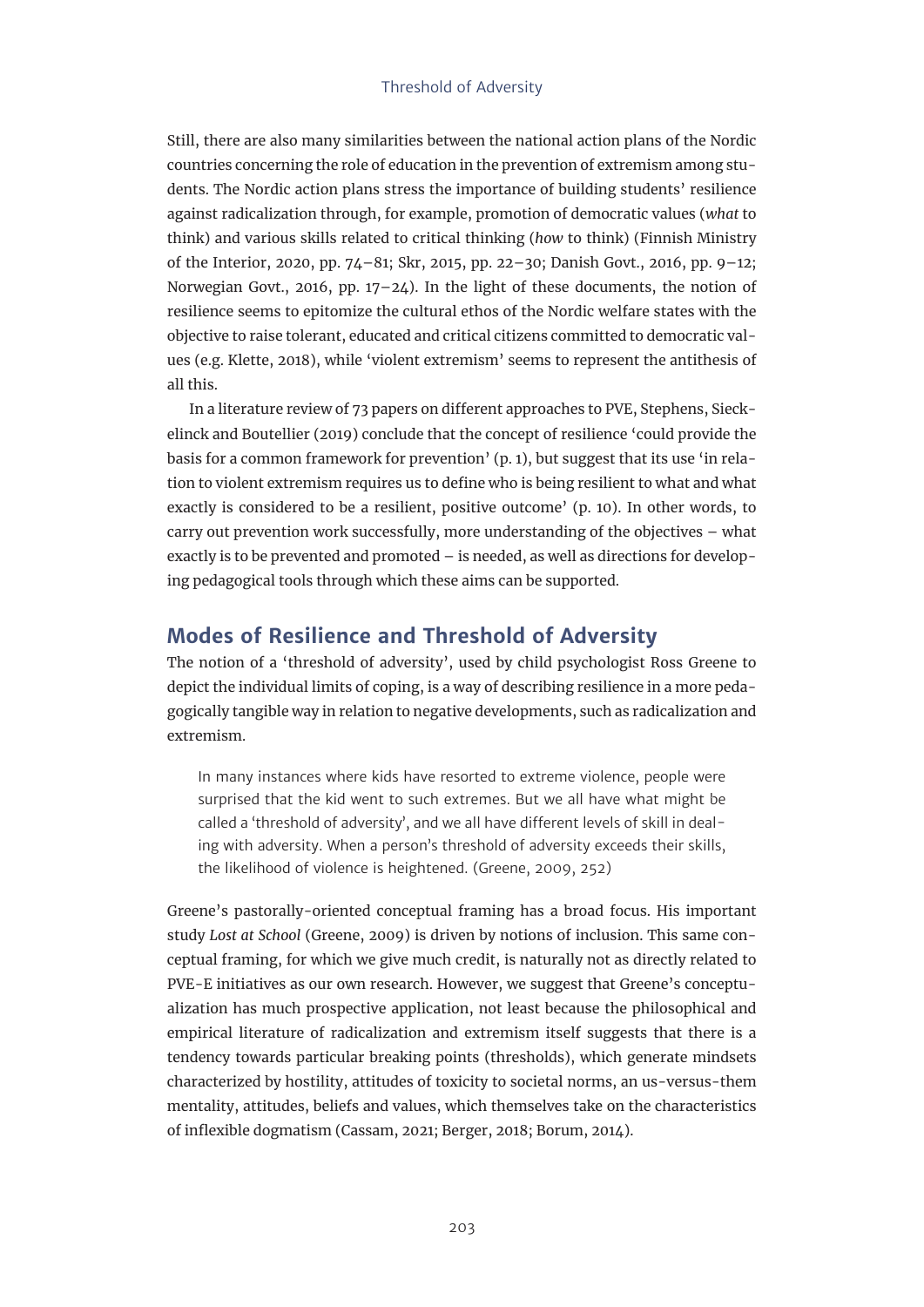Still, there are also many similarities between the national action plans of the Nordic countries concerning the role of education in the prevention of extremism among students. The Nordic action plans stress the importance of building students' resilience against radicalization through, for example, promotion of democratic values (*what* to think) and various skills related to critical thinking (*how* to think) (Finnish Ministry of the Interior, 2020, pp. 74–81; Skr, 2015, pp. 22–30; Danish Govt., 2016, pp. 9–12; Norwegian Govt., 2016, pp.  $17-2\Delta$ ). In the light of these documents, the notion of resilience seems to epitomize the cultural ethos of the Nordic welfare states with the objective to raise tolerant, educated and critical citizens committed to democratic values (e.g. Klette, 2018), while 'violent extremism' seems to represent the antithesis of all this.

In a literature review of 73 papers on different approaches to PVE, Stephens, Sieckelinck and Boutellier (2019) conclude that the concept of resilience 'could provide the basis for a common framework for prevention' (p. 1), but suggest that its use 'in relation to violent extremism requires us to define who is being resilient to what and what exactly is considered to be a resilient, positive outcome' (p. 10). In other words, to carry out prevention work successfully, more understanding of the objectives – what exactly is to be prevented and promoted – is needed, as well as directions for developing pedagogical tools through which these aims can be supported.

# **Modes of Resilience and Threshold of Adversity**

The notion of a 'threshold of adversity', used by child psychologist Ross Greene to depict the individual limits of coping, is a way of describing resilience in a more pedagogically tangible way in relation to negative developments, such as radicalization and extremism.

In many instances where kids have resorted to extreme violence, people were surprised that the kid went to such extremes. But we all have what might be called a 'threshold of adversity', and we all have different levels of skill in dealing with adversity. When a person's threshold of adversity exceeds their skills, the likelihood of violence is heightened. (Greene, 2009, 252)

Greene's pastorally-oriented conceptual framing has a broad focus. His important study *Lost at School* (Greene, 2009) is driven by notions of inclusion. This same conceptual framing, for which we give much credit, is naturally not as directly related to PVE-E initiatives as our own research. However, we suggest that Greene's conceptualization has much prospective application, not least because the philosophical and empirical literature of radicalization and extremism itself suggests that there is a tendency towards particular breaking points (thresholds), which generate mindsets characterized by hostility, attitudes of toxicity to societal norms, an us-versus-them mentality, attitudes, beliefs and values, which themselves take on the characteristics of inflexible dogmatism (Cassam, 2021; Berger, 2018; Borum, 2014).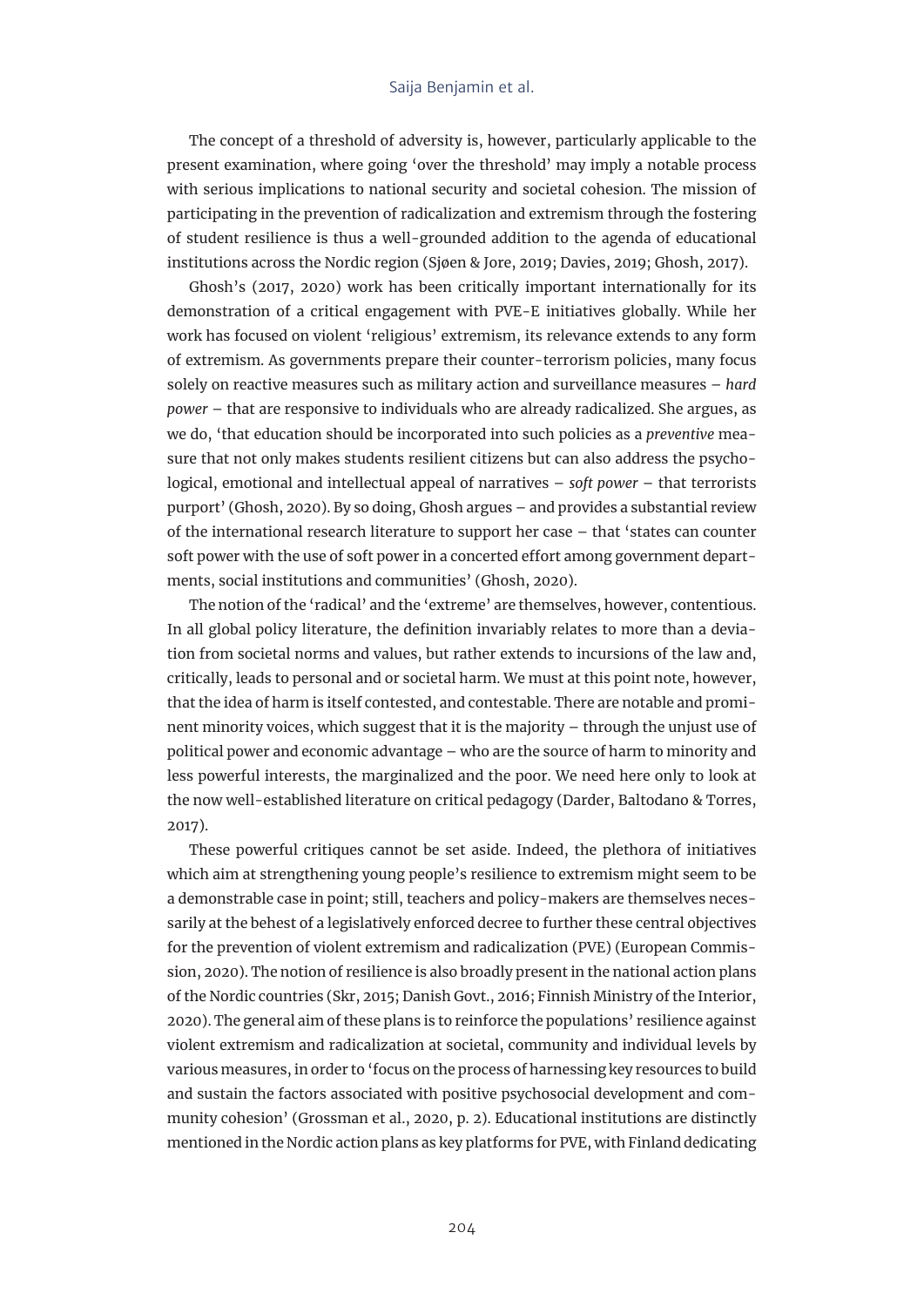The concept of a threshold of adversity is, however, particularly applicable to the present examination, where going 'over the threshold' may imply a notable process with serious implications to national security and societal cohesion. The mission of participating in the prevention of radicalization and extremism through the fostering of student resilience is thus a well-grounded addition to the agenda of educational institutions across the Nordic region (Sjøen & Jore, 2019; Davies, 2019; Ghosh, 2017).

Ghosh's (2017, 2020) work has been critically important internationally for its demonstration of a critical engagement with PVE-E initiatives globally. While her work has focused on violent 'religious' extremism, its relevance extends to any form of extremism. As governments prepare their counter-terrorism policies, many focus solely on reactive measures such as military action and surveillance measures – *hard power* – that are responsive to individuals who are already radicalized. She argues, as we do, 'that education should be incorporated into such policies as a *preventive* measure that not only makes students resilient citizens but can also address the psychological, emotional and intellectual appeal of narratives – *soft power* – that terrorists purport' (Ghosh, 2020). By so doing, Ghosh argues – and provides a substantial review of the international research literature to support her case – that 'states can counter soft power with the use of soft power in a concerted effort among government departments, social institutions and communities' (Ghosh, 2020).

The notion of the 'radical' and the 'extreme' are themselves, however, contentious. In all global policy literature, the definition invariably relates to more than a deviation from societal norms and values, but rather extends to incursions of the law and, critically, leads to personal and or societal harm. We must at this point note, however, that the idea of harm is itself contested, and contestable. There are notable and prominent minority voices, which suggest that it is the majority – through the unjust use of political power and economic advantage – who are the source of harm to minority and less powerful interests, the marginalized and the poor. We need here only to look at the now well-established literature on critical pedagogy (Darder, Baltodano & Torres, 2017).

These powerful critiques cannot be set aside. Indeed, the plethora of initiatives which aim at strengthening young people's resilience to extremism might seem to be a demonstrable case in point; still, teachers and policy-makers are themselves necessarily at the behest of a legislatively enforced decree to further these central objectives for the prevention of violent extremism and radicalization (PVE) (European Commission, 2020). The notion of resilience is also broadly present in the national action plans of the Nordic countries (Skr, 2015; Danish Govt., 2016; Finnish Ministry of the Interior, 2020). The general aim of these plans is to reinforce the populations' resilience against violent extremism and radicalization at societal, community and individual levels by various measures, in order to 'focus on the process of harnessing key resources to build and sustain the factors associated with positive psychosocial development and community cohesion' (Grossman et al., 2020, p. 2). Educational institutions are distinctly mentioned in the Nordic action plans as key platforms for PVE, with Finland dedicating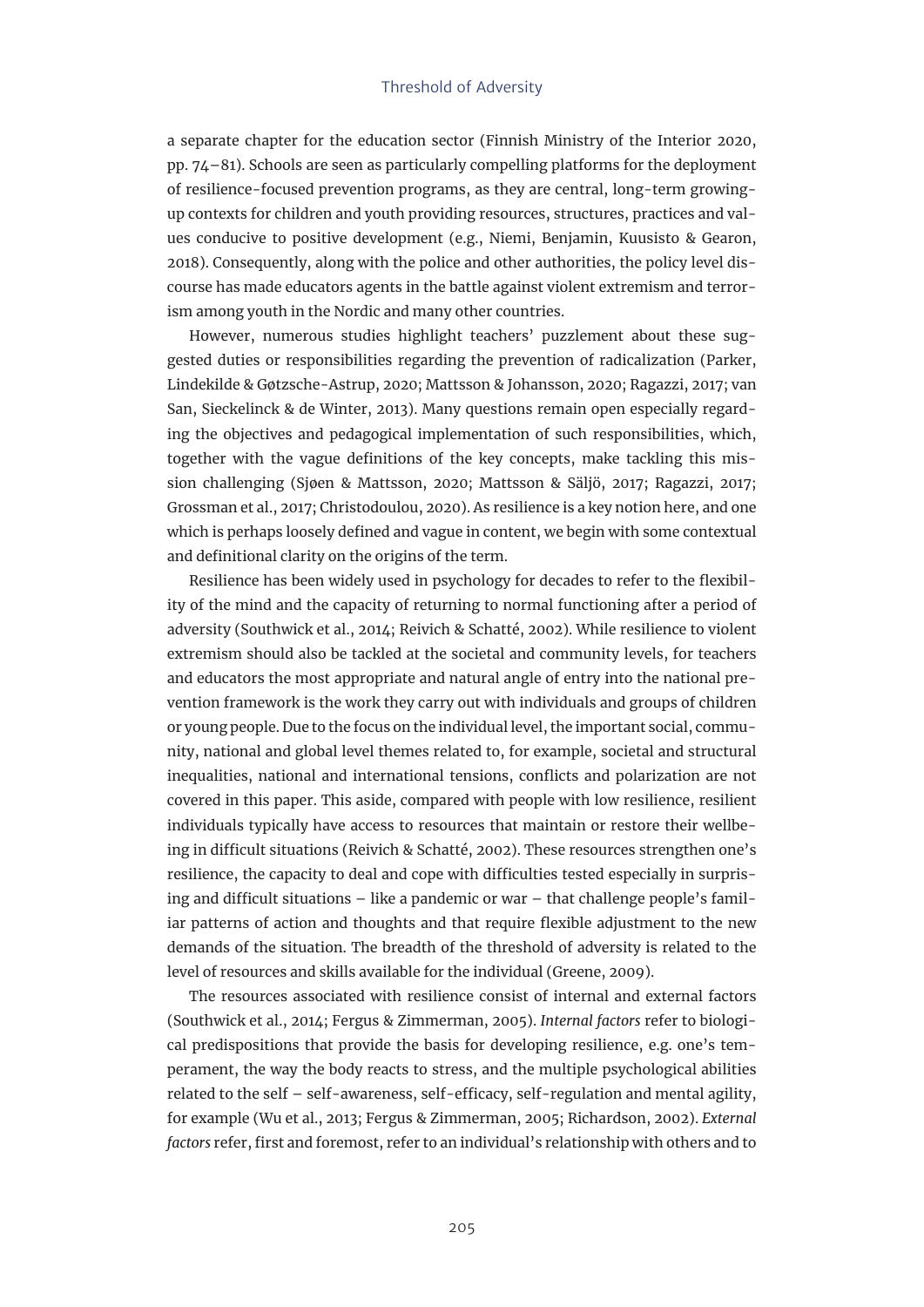a separate chapter for the education sector (Finnish Ministry of the Interior 2020, pp. 74–81). Schools are seen as particularly compelling platforms for the deployment of resilience-focused prevention programs, as they are central, long-term growingup contexts for children and youth providing resources, structures, practices and values conducive to positive development (e.g., Niemi, Benjamin, Kuusisto & Gearon, 2018). Consequently, along with the police and other authorities, the policy level discourse has made educators agents in the battle against violent extremism and terrorism among youth in the Nordic and many other countries.

However, numerous studies highlight teachers' puzzlement about these suggested duties or responsibilities regarding the prevention of radicalization (Parker, Lindekilde & Gøtzsche-Astrup, 2020; Mattsson & Johansson, 2020; Ragazzi, 2017; van San, Sieckelinck & de Winter, 2013). Many questions remain open especially regarding the objectives and pedagogical implementation of such responsibilities, which, together with the vague definitions of the key concepts, make tackling this mission challenging (Sjøen & Mattsson, 2020; Mattsson & Säljö, 2017; Ragazzi, 2017; Grossman et al., 2017; Christodoulou, 2020). As resilience is a key notion here, and one which is perhaps loosely defined and vague in content, we begin with some contextual and definitional clarity on the origins of the term.

Resilience has been widely used in psychology for decades to refer to the flexibility of the mind and the capacity of returning to normal functioning after a period of adversity (Southwick et al., 2014; Reivich & Schatté, 2002). While resilience to violent extremism should also be tackled at the societal and community levels, for teachers and educators the most appropriate and natural angle of entry into the national prevention framework is the work they carry out with individuals and groups of children or young people. Due to the focus on the individual level, the important social, community, national and global level themes related to, for example, societal and structural inequalities, national and international tensions, conflicts and polarization are not covered in this paper. This aside, compared with people with low resilience, resilient individuals typically have access to resources that maintain or restore their wellbeing in difficult situations (Reivich & Schatté, 2002). These resources strengthen one's resilience, the capacity to deal and cope with difficulties tested especially in surprising and difficult situations – like a pandemic or war – that challenge people's familiar patterns of action and thoughts and that require flexible adjustment to the new demands of the situation. The breadth of the threshold of adversity is related to the level of resources and skills available for the individual (Greene, 2009).

The resources associated with resilience consist of internal and external factors (Southwick et al., 2014; Fergus & Zimmerman, 2005). *Internal factors* refer to biological predispositions that provide the basis for developing resilience, e.g. one's temperament, the way the body reacts to stress, and the multiple psychological abilities related to the self – self-awareness, self-efficacy, self-regulation and mental agility, for example (Wu et al., 2013; Fergus & Zimmerman, 2005; Richardson, 2002). *External factors* refer, first and foremost, refer to an individual's relationship with others and to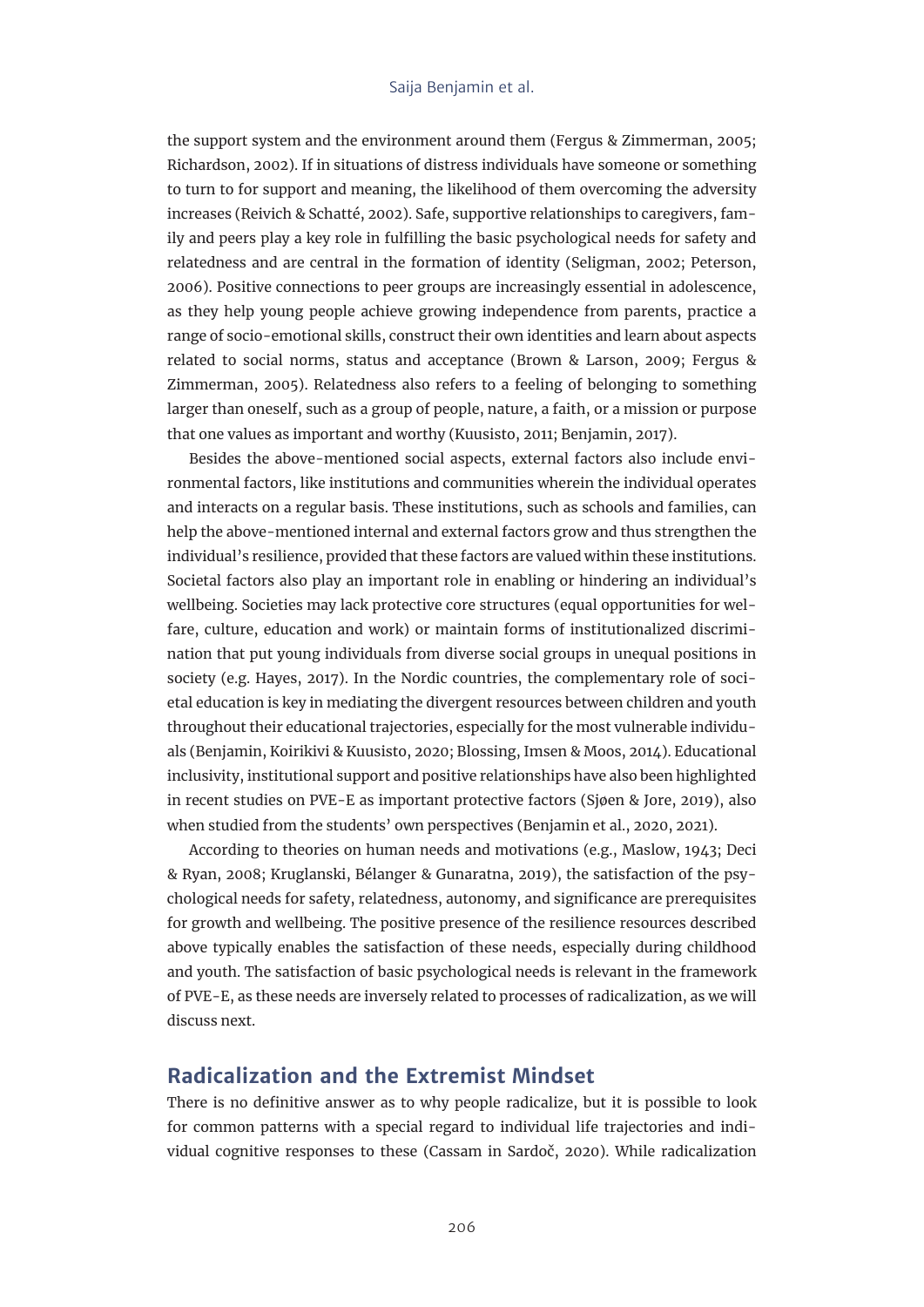the support system and the environment around them (Fergus & Zimmerman, 2005; Richardson, 2002). If in situations of distress individuals have someone or something to turn to for support and meaning, the likelihood of them overcoming the adversity increases (Reivich & Schatté, 2002). Safe, supportive relationships to caregivers, family and peers play a key role in fulfilling the basic psychological needs for safety and relatedness and are central in the formation of identity (Seligman, 2002; Peterson, 2006). Positive connections to peer groups are increasingly essential in adolescence, as they help young people achieve growing independence from parents, practice a range of socio-emotional skills, construct their own identities and learn about aspects related to social norms, status and acceptance (Brown & Larson, 2009; Fergus & Zimmerman, 2005). Relatedness also refers to a feeling of belonging to something larger than oneself, such as a group of people, nature, a faith, or a mission or purpose that one values as important and worthy (Kuusisto, 2011; Benjamin, 2017).

Besides the above-mentioned social aspects, external factors also include environmental factors, like institutions and communities wherein the individual operates and interacts on a regular basis. These institutions, such as schools and families, can help the above-mentioned internal and external factors grow and thus strengthen the individual's resilience, provided that these factors are valued within these institutions. Societal factors also play an important role in enabling or hindering an individual's wellbeing. Societies may lack protective core structures (equal opportunities for welfare, culture, education and work) or maintain forms of institutionalized discrimination that put young individuals from diverse social groups in unequal positions in society (e.g. Hayes, 2017). In the Nordic countries, the complementary role of societal education is key in mediating the divergent resources between children and youth throughout their educational trajectories, especially for the most vulnerable individuals (Benjamin, Koirikivi & Kuusisto, 2020; Blossing, Imsen & Moos, 2014). Educational inclusivity, institutional support and positive relationships have also been highlighted in recent studies on PVE-E as important protective factors (Sjøen & Jore, 2019), also when studied from the students' own perspectives (Benjamin et al., 2020, 2021).

According to theories on human needs and motivations (e.g., Maslow, 1943; Deci & Ryan, 2008; Kruglanski, Bélanger & Gunaratna, 2019), the satisfaction of the psychological needs for safety, relatedness, autonomy, and significance are prerequisites for growth and wellbeing. The positive presence of the resilience resources described above typically enables the satisfaction of these needs, especially during childhood and youth. The satisfaction of basic psychological needs is relevant in the framework of PVE-E, as these needs are inversely related to processes of radicalization, as we will discuss next.

### **Radicalization and the Extremist Mindset**

There is no definitive answer as to why people radicalize, but it is possible to look for common patterns with a special regard to individual life trajectories and individual cognitive responses to these (Cassam in Sardoč, 2020). While radicalization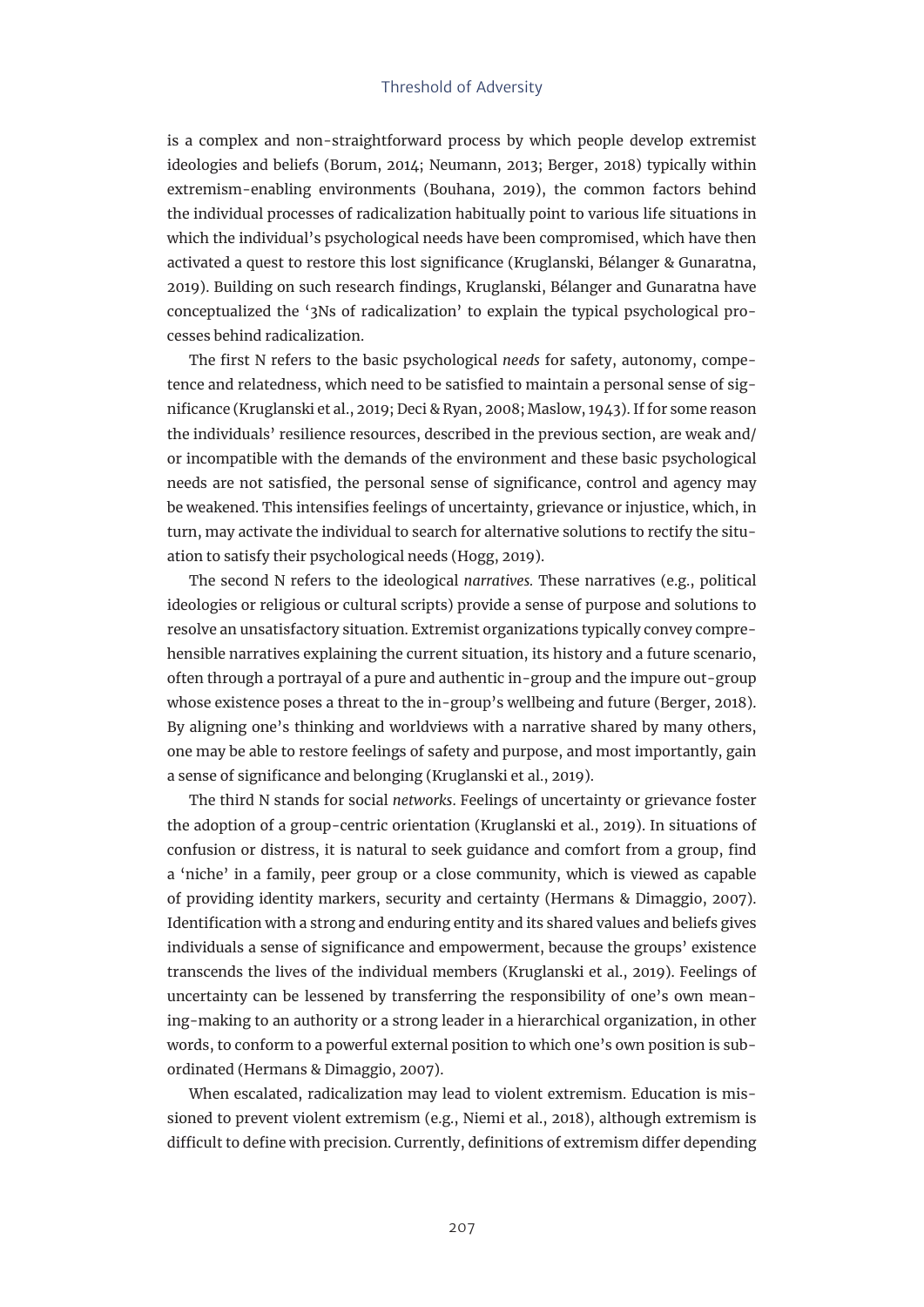is a complex and non-straightforward process by which people develop extremist ideologies and beliefs (Borum, 2014; Neumann, 2013; Berger, 2018) typically within extremism-enabling environments (Bouhana, 2019), the common factors behind the individual processes of radicalization habitually point to various life situations in which the individual's psychological needs have been compromised, which have then activated a quest to restore this lost significance (Kruglanski, Bélanger & Gunaratna, 2019). Building on such research findings, Kruglanski, Bélanger and Gunaratna have conceptualized the '3Ns of radicalization' to explain the typical psychological processes behind radicalization.

The first N refers to the basic psychological *needs* for safety, autonomy, competence and relatedness, which need to be satisfied to maintain a personal sense of significance (Kruglanski et al., 2019; Deci & Ryan, 2008; Maslow, 1943). If for some reason the individuals' resilience resources, described in the previous section, are weak and/ or incompatible with the demands of the environment and these basic psychological needs are not satisfied, the personal sense of significance, control and agency may be weakened. This intensifies feelings of uncertainty, grievance or injustice, which, in turn, may activate the individual to search for alternative solutions to rectify the situation to satisfy their psychological needs (Hogg, 2019).

The second N refers to the ideological *narratives.* These narratives (e.g., political ideologies or religious or cultural scripts) provide a sense of purpose and solutions to resolve an unsatisfactory situation. Extremist organizations typically convey comprehensible narratives explaining the current situation, its history and a future scenario, often through a portrayal of a pure and authentic in-group and the impure out-group whose existence poses a threat to the in-group's wellbeing and future (Berger, 2018). By aligning one's thinking and worldviews with a narrative shared by many others, one may be able to restore feelings of safety and purpose, and most importantly, gain a sense of significance and belonging (Kruglanski et al., 2019).

The third N stands for social *networks*. Feelings of uncertainty or grievance foster the adoption of a group-centric orientation (Kruglanski et al., 2019). In situations of confusion or distress, it is natural to seek guidance and comfort from a group, find a 'niche' in a family, peer group or a close community, which is viewed as capable of providing identity markers, security and certainty (Hermans & Dimaggio, 2007). Identification with a strong and enduring entity and its shared values and beliefs gives individuals a sense of significance and empowerment, because the groups' existence transcends the lives of the individual members (Kruglanski et al., 2019). Feelings of uncertainty can be lessened by transferring the responsibility of one's own meaning-making to an authority or a strong leader in a hierarchical organization, in other words, to conform to a powerful external position to which one's own position is subordinated (Hermans & Dimaggio, 2007).

When escalated, radicalization may lead to violent extremism. Education is missioned to prevent violent extremism (e.g., Niemi et al., 2018), although extremism is difficult to define with precision. Currently, definitions of extremism differ depending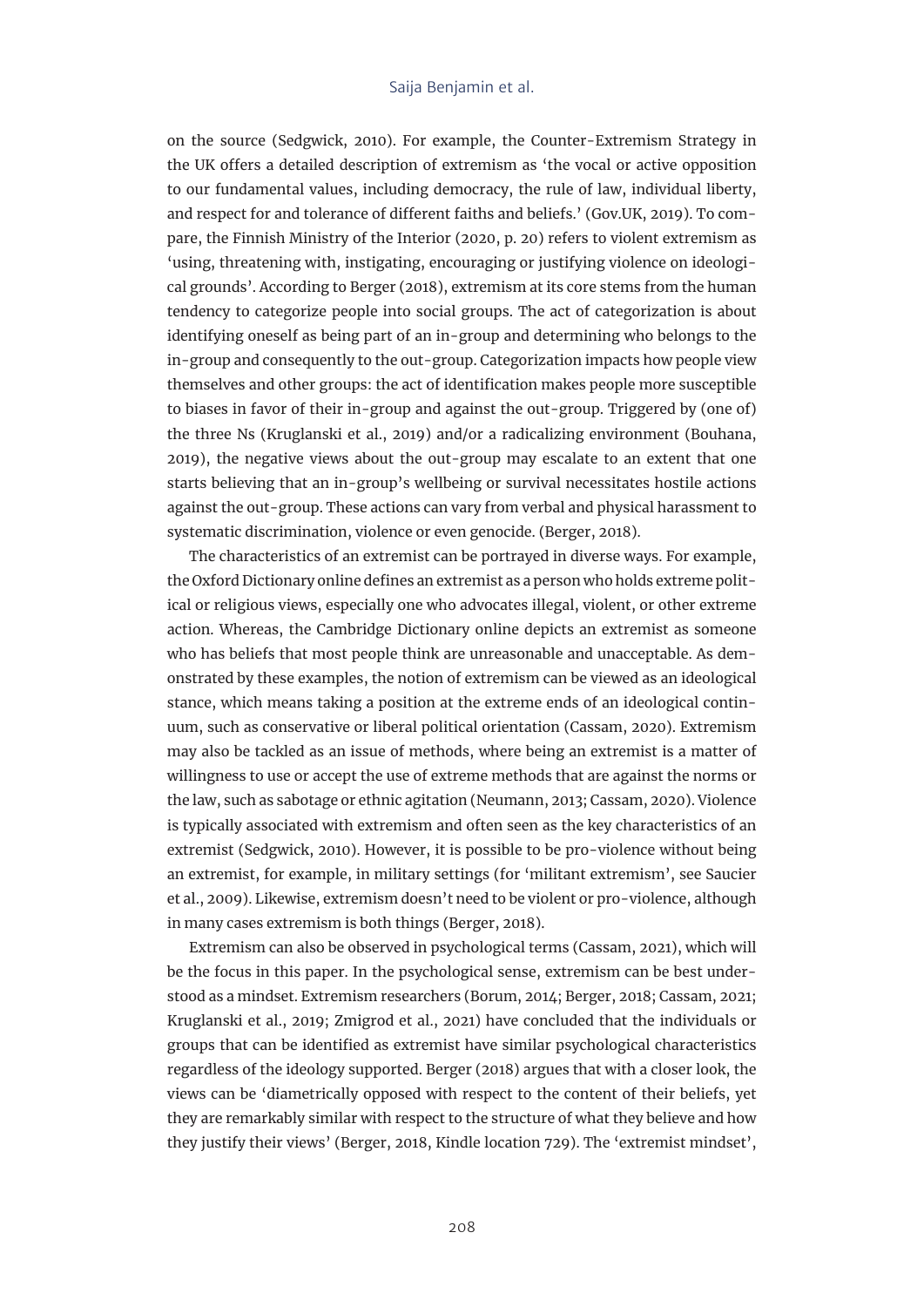on the source (Sedgwick, 2010). For example, the Counter-Extremism Strategy in the UK offers a detailed description of extremism as 'the vocal or active opposition to our fundamental values, including democracy, the rule of law, individual liberty, and respect for and tolerance of different faiths and beliefs.' (Gov.UK, 2019). To compare, the Finnish Ministry of the Interior (2020, p. 20) refers to violent extremism as 'using, threatening with, instigating, encouraging or justifying violence on ideological grounds'. According to Berger (2018), extremism at its core stems from the human tendency to categorize people into social groups. The act of categorization is about identifying oneself as being part of an in-group and determining who belongs to the in-group and consequently to the out-group. Categorization impacts how people view themselves and other groups: the act of identification makes people more susceptible to biases in favor of their in-group and against the out-group. Triggered by (one of) the three Ns (Kruglanski et al., 2019) and/or a radicalizing environment (Bouhana, 2019), the negative views about the out-group may escalate to an extent that one starts believing that an in-group's wellbeing or survival necessitates hostile actions against the out-group. These actions can vary from verbal and physical harassment to systematic discrimination, violence or even genocide. (Berger, 2018).

The characteristics of an extremist can be portrayed in diverse ways. For example, the Oxford Dictionary online defines an extremist as a person who holds extreme political or religious views, especially one who advocates illegal, violent, or other extreme action. Whereas, the Cambridge Dictionary online depicts an extremist as someone who has beliefs that most people think are unreasonable and unacceptable. As demonstrated by these examples, the notion of extremism can be viewed as an ideological stance, which means taking a position at the extreme ends of an ideological continuum, such as conservative or liberal political orientation (Cassam, 2020). Extremism may also be tackled as an issue of methods, where being an extremist is a matter of willingness to use or accept the use of extreme methods that are against the norms or the law, such as sabotage or ethnic agitation (Neumann, 2013; Cassam, 2020). Violence is typically associated with extremism and often seen as the key characteristics of an extremist (Sedgwick, 2010). However, it is possible to be pro-violence without being an extremist, for example, in military settings (for 'militant extremism', see Saucier et al., 2009). Likewise, extremism doesn't need to be violent or pro-violence, although in many cases extremism is both things (Berger, 2018).

Extremism can also be observed in psychological terms (Cassam, 2021), which will be the focus in this paper. In the psychological sense, extremism can be best understood as a mindset. Extremism researchers (Borum, 2014; Berger, 2018; Cassam, 2021; Kruglanski et al., 2019; Zmigrod et al., 2021) have concluded that the individuals or groups that can be identified as extremist have similar psychological characteristics regardless of the ideology supported. Berger (2018) argues that with a closer look, the views can be 'diametrically opposed with respect to the content of their beliefs, yet they are remarkably similar with respect to the structure of what they believe and how they justify their views' (Berger, 2018, Kindle location 729). The 'extremist mindset',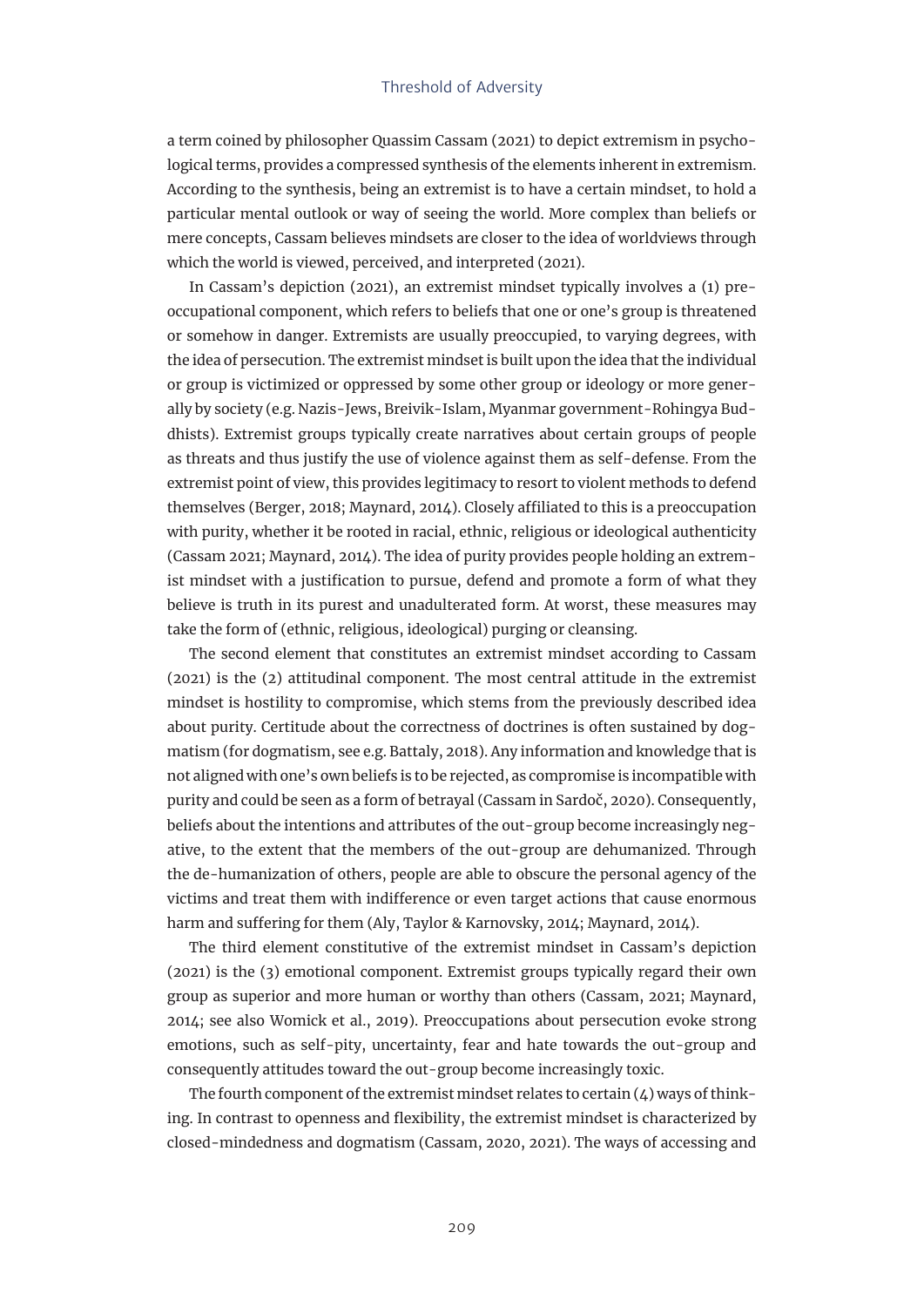a term coined by philosopher Quassim Cassam (2021) to depict extremism in psychological terms, provides a compressed synthesis of the elements inherent in extremism. According to the synthesis, being an extremist is to have a certain mindset, to hold a particular mental outlook or way of seeing the world. More complex than beliefs or mere concepts, Cassam believes mindsets are closer to the idea of worldviews through which the world is viewed, perceived, and interpreted (2021).

In Cassam's depiction (2021), an extremist mindset typically involves a (1) preoccupational component, which refers to beliefs that one or one's group is threatened or somehow in danger. Extremists are usually preoccupied, to varying degrees, with the idea of persecution. The extremist mindset is built upon the idea that the individual or group is victimized or oppressed by some other group or ideology or more generally by society (e.g. Nazis-Jews, Breivik-Islam, Myanmar government-Rohingya Buddhists). Extremist groups typically create narratives about certain groups of people as threats and thus justify the use of violence against them as self-defense. From the extremist point of view, this provides legitimacy to resort to violent methods to defend themselves (Berger, 2018; Maynard, 2014). Closely affiliated to this is a preoccupation with purity, whether it be rooted in racial, ethnic, religious or ideological authenticity (Cassam 2021; Maynard, 2014). The idea of purity provides people holding an extremist mindset with a justification to pursue, defend and promote a form of what they believe is truth in its purest and unadulterated form. At worst, these measures may take the form of (ethnic, religious, ideological) purging or cleansing.

The second element that constitutes an extremist mindset according to Cassam (2021) is the (2) attitudinal component. The most central attitude in the extremist mindset is hostility to compromise, which stems from the previously described idea about purity. Certitude about the correctness of doctrines is often sustained by dogmatism (for dogmatism, see e.g. Battaly, 2018). Any information and knowledge that is not aligned with one's own beliefs is to be rejected, as compromise is incompatible with purity and could be seen as a form of betrayal (Cassam in Sardoč, 2020). Consequently, beliefs about the intentions and attributes of the out-group become increasingly negative, to the extent that the members of the out-group are dehumanized. Through the de-humanization of others, people are able to obscure the personal agency of the victims and treat them with indifference or even target actions that cause enormous harm and suffering for them (Aly, Taylor & Karnovsky, 2014; Maynard, 2014).

The third element constitutive of the extremist mindset in Cassam's depiction (2021) is the (3) emotional component. Extremist groups typically regard their own group as superior and more human or worthy than others (Cassam, 2021; Maynard, 2014; see also Womick et al., 2019). Preoccupations about persecution evoke strong emotions, such as self-pity, uncertainty, fear and hate towards the out-group and consequently attitudes toward the out-group become increasingly toxic.

The fourth component of the extremist mindset relates to certain (4) ways of thinking. In contrast to openness and flexibility, the extremist mindset is characterized by closed-mindedness and dogmatism (Cassam, 2020, 2021). The ways of accessing and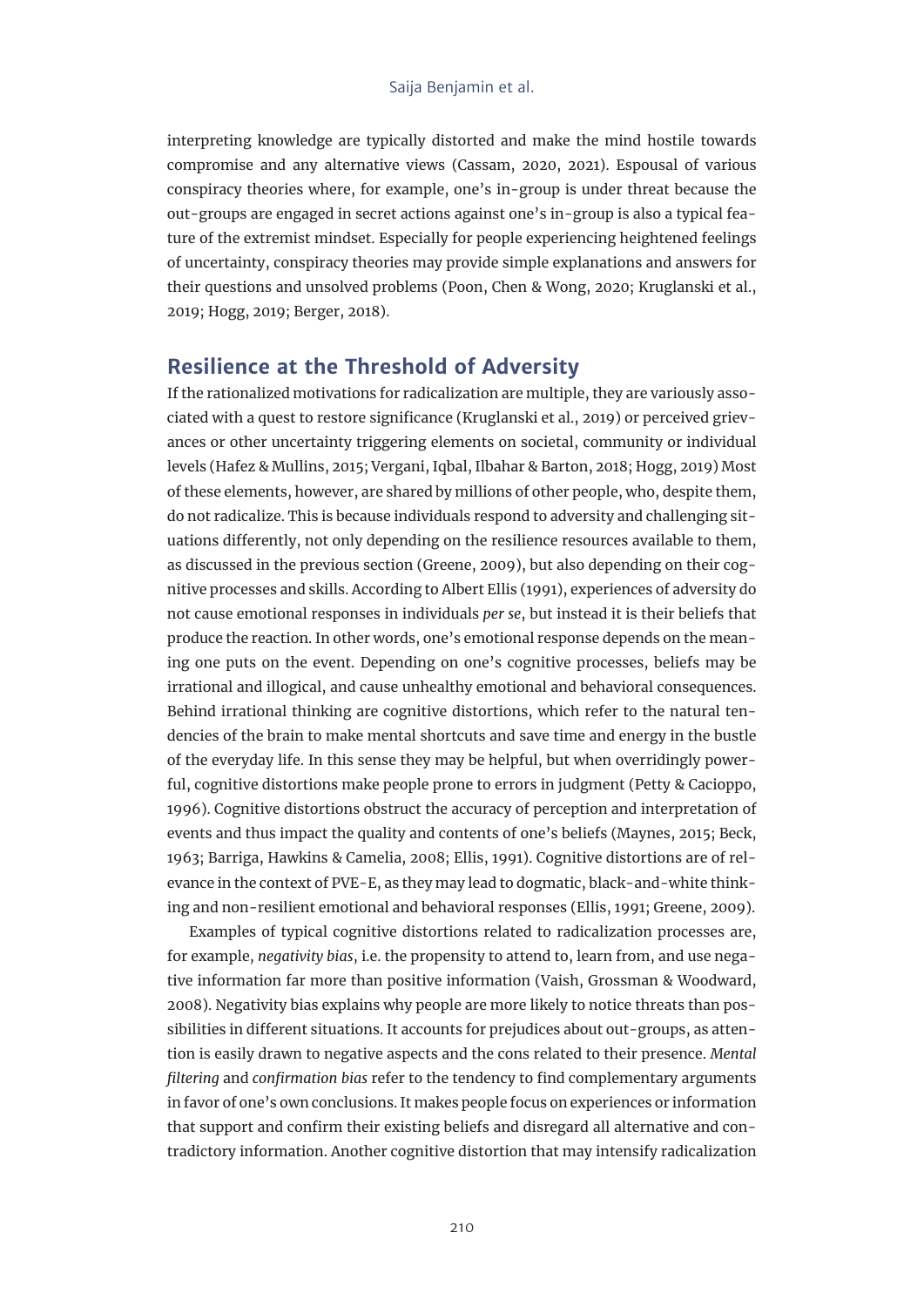interpreting knowledge are typically distorted and make the mind hostile towards compromise and any alternative views (Cassam, 2020, 2021). Espousal of various conspiracy theories where, for example, one's in-group is under threat because the out-groups are engaged in secret actions against one's in-group is also a typical feature of the extremist mindset. Especially for people experiencing heightened feelings of uncertainty, conspiracy theories may provide simple explanations and answers for their questions and unsolved problems (Poon, Chen & Wong, 2020; Kruglanski et al., 2019; Hogg, 2019; Berger, 2018).

# **Resilience at the Threshold of Adversity**

If the rationalized motivations for radicalization are multiple, they are variously associated with a quest to restore significance (Kruglanski et al., 2019) or perceived grievances or other uncertainty triggering elements on societal, community or individual levels (Hafez & Mullins, 2015; Vergani, Iqbal, Ilbahar & Barton, 2018; Hogg, 2019) Most of these elements, however, are shared by millions of other people, who, despite them, do not radicalize. This is because individuals respond to adversity and challenging situations differently, not only depending on the resilience resources available to them, as discussed in the previous section (Greene, 2009), but also depending on their cognitive processes and skills. According to Albert Ellis (1991), experiences of adversity do not cause emotional responses in individuals *per se*, but instead it is their beliefs that produce the reaction. In other words, one's emotional response depends on the meaning one puts on the event. Depending on one's cognitive processes, beliefs may be irrational and illogical, and cause unhealthy emotional and behavioral consequences. Behind irrational thinking are cognitive distortions, which refer to the natural tendencies of the brain to make mental shortcuts and save time and energy in the bustle of the everyday life. In this sense they may be helpful, but when overridingly powerful, cognitive distortions make people prone to errors in judgment (Petty & Cacioppo, 1996). Cognitive distortions obstruct the accuracy of perception and interpretation of events and thus impact the quality and contents of one's beliefs (Maynes, 2015; Beck, 1963; Barriga, Hawkins & Camelia, 2008; Ellis, 1991). Cognitive distortions are of relevance in the context of PVE-E, as they may lead to dogmatic, black-and-white thinking and non-resilient emotional and behavioral responses (Ellis, 1991; Greene, 2009).

Examples of typical cognitive distortions related to radicalization processes are, for example, *negativity bias*, i.e. the propensity to attend to, learn from, and use negative information far more than positive information (Vaish, Grossman & Woodward, 2008). Negativity bias explains why people are more likely to notice threats than possibilities in different situations. It accounts for prejudices about out-groups, as attention is easily drawn to negative aspects and the cons related to their presence. *Mental filtering* and *confirmation bias* refer to the tendency to find complementary arguments in favor of one's own conclusions. It makes people focus on experiences or information that support and confirm their existing beliefs and disregard all alternative and contradictory information. Another cognitive distortion that may intensify radicalization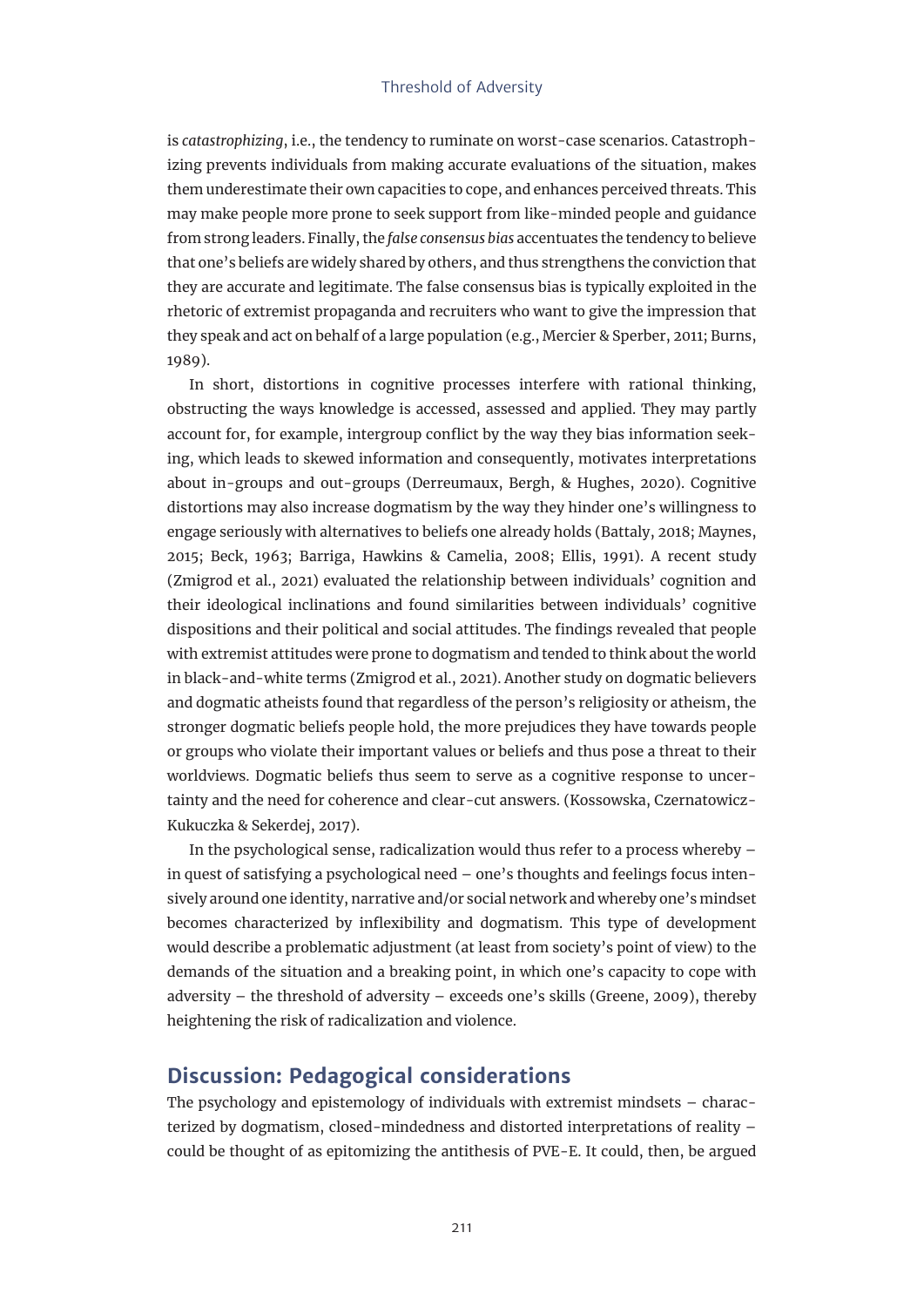is *catastrophizing*, i.e., the tendency to ruminate on worst-case scenarios. Catastrophizing prevents individuals from making accurate evaluations of the situation, makes them underestimate their own capacities to cope, and enhances perceived threats. This may make people more prone to seek support from like-minded people and guidance from strong leaders. Finally, the *false consensus bias* accentuates the tendency to believe that one's beliefs are widely shared by others, and thus strengthens the conviction that they are accurate and legitimate. The false consensus bias is typically exploited in the rhetoric of extremist propaganda and recruiters who want to give the impression that they speak and act on behalf of a large population (e.g., Mercier & Sperber, 2011; Burns, 1989).

In short, distortions in cognitive processes interfere with rational thinking, obstructing the ways knowledge is accessed, assessed and applied. They may partly account for, for example, intergroup conflict by the way they bias information seeking, which leads to skewed information and consequently, motivates interpretations about in-groups and out-groups (Derreumaux, Bergh, & Hughes, 2020). Cognitive distortions may also increase dogmatism by the way they hinder one's willingness to engage seriously with alternatives to beliefs one already holds (Battaly, 2018; Maynes, 2015; Beck, 1963; Barriga, Hawkins & Camelia, 2008; Ellis, 1991). A recent study (Zmigrod et al., 2021) evaluated the relationship between individuals' cognition and their ideological inclinations and found similarities between individuals' cognitive dispositions and their political and social attitudes. The findings revealed that people with extremist attitudes were prone to dogmatism and tended to think about the world in black-and-white terms (Zmigrod et al., 2021). Another study on dogmatic believers and dogmatic atheists found that regardless of the person's religiosity or atheism, the stronger dogmatic beliefs people hold, the more prejudices they have towards people or groups who violate their important values or beliefs and thus pose a threat to their worldviews. Dogmatic beliefs thus seem to serve as a cognitive response to uncertainty and the need for coherence and clear-cut answers. (Kossowska, Czernatowicz-Kukuczka & Sekerdej, 2017).

In the psychological sense, radicalization would thus refer to a process whereby – in quest of satisfying a psychological need – one's thoughts and feelings focus intensively around one identity, narrative and/or social network and whereby one's mindset becomes characterized by inflexibility and dogmatism. This type of development would describe a problematic adjustment (at least from society's point of view) to the demands of the situation and a breaking point, in which one's capacity to cope with adversity – the threshold of adversity – exceeds one's skills (Greene, 2009), thereby heightening the risk of radicalization and violence.

# **Discussion: Pedagogical considerations**

The psychology and epistemology of individuals with extremist mindsets – characterized by dogmatism, closed-mindedness and distorted interpretations of reality – could be thought of as epitomizing the antithesis of PVE-E. It could, then, be argued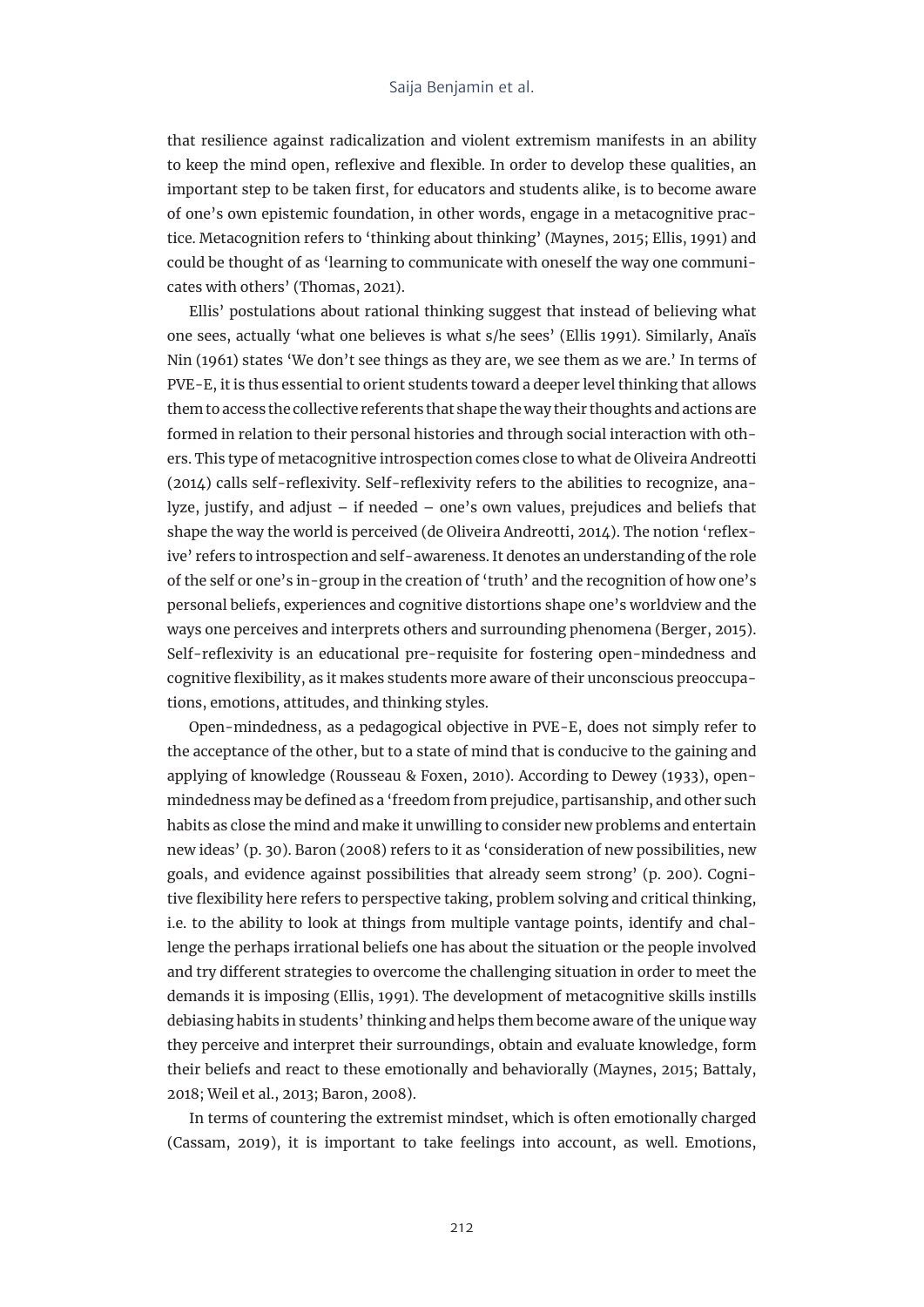that resilience against radicalization and violent extremism manifests in an ability to keep the mind open, reflexive and flexible. In order to develop these qualities, an important step to be taken first, for educators and students alike, is to become aware of one's own epistemic foundation, in other words, engage in a metacognitive practice. Metacognition refers to 'thinking about thinking' (Maynes, 2015; Ellis, 1991) and could be thought of as 'learning to communicate with oneself the way one communicates with others' (Thomas, 2021).

Ellis' postulations about rational thinking suggest that instead of believing what one sees, actually 'what one believes is what s/he sees' (Ellis 1991). Similarly, Anaïs Nin (1961) states 'We don't see things as they are, we see them as we are.' In terms of PVE-E, it is thus essential to orient students toward a deeper level thinking that allows them to access the collective referents that shape the way their thoughts and actions are formed in relation to their personal histories and through social interaction with others. This type of metacognitive introspection comes close to what de Oliveira Andreotti (2014) calls self-reflexivity. Self-reflexivity refers to the abilities to recognize, analyze, justify, and adjust – if needed – one's own values, prejudices and beliefs that shape the way the world is perceived (de Oliveira Andreotti, 2014). The notion 'reflexive' refers to introspection and self-awareness. It denotes an understanding of the role of the self or one's in-group in the creation of 'truth' and the recognition of how one's personal beliefs, experiences and cognitive distortions shape one's worldview and the ways one perceives and interprets others and surrounding phenomena (Berger, 2015). Self-reflexivity is an educational pre-requisite for fostering open-mindedness and cognitive flexibility, as it makes students more aware of their unconscious preoccupations, emotions, attitudes, and thinking styles.

Open-mindedness, as a pedagogical objective in PVE-E, does not simply refer to the acceptance of the other, but to a state of mind that is conducive to the gaining and applying of knowledge (Rousseau & Foxen, 2010). According to Dewey (1933), openmindedness may be defined as a 'freedom from prejudice, partisanship, and other such habits as close the mind and make it unwilling to consider new problems and entertain new ideas' (p. 30). Baron (2008) refers to it as 'consideration of new possibilities, new goals, and evidence against possibilities that already seem strong' (p. 200). Cognitive flexibility here refers to perspective taking, problem solving and critical thinking, i.e. to the ability to look at things from multiple vantage points, identify and challenge the perhaps irrational beliefs one has about the situation or the people involved and try different strategies to overcome the challenging situation in order to meet the demands it is imposing (Ellis, 1991). The development of metacognitive skills instills debiasing habits in students' thinking and helps them become aware of the unique way they perceive and interpret their surroundings, obtain and evaluate knowledge, form their beliefs and react to these emotionally and behaviorally (Maynes, 2015; Battaly, 2018; Weil et al., 2013; Baron, 2008).

In terms of countering the extremist mindset, which is often emotionally charged (Cassam, 2019), it is important to take feelings into account, as well. Emotions,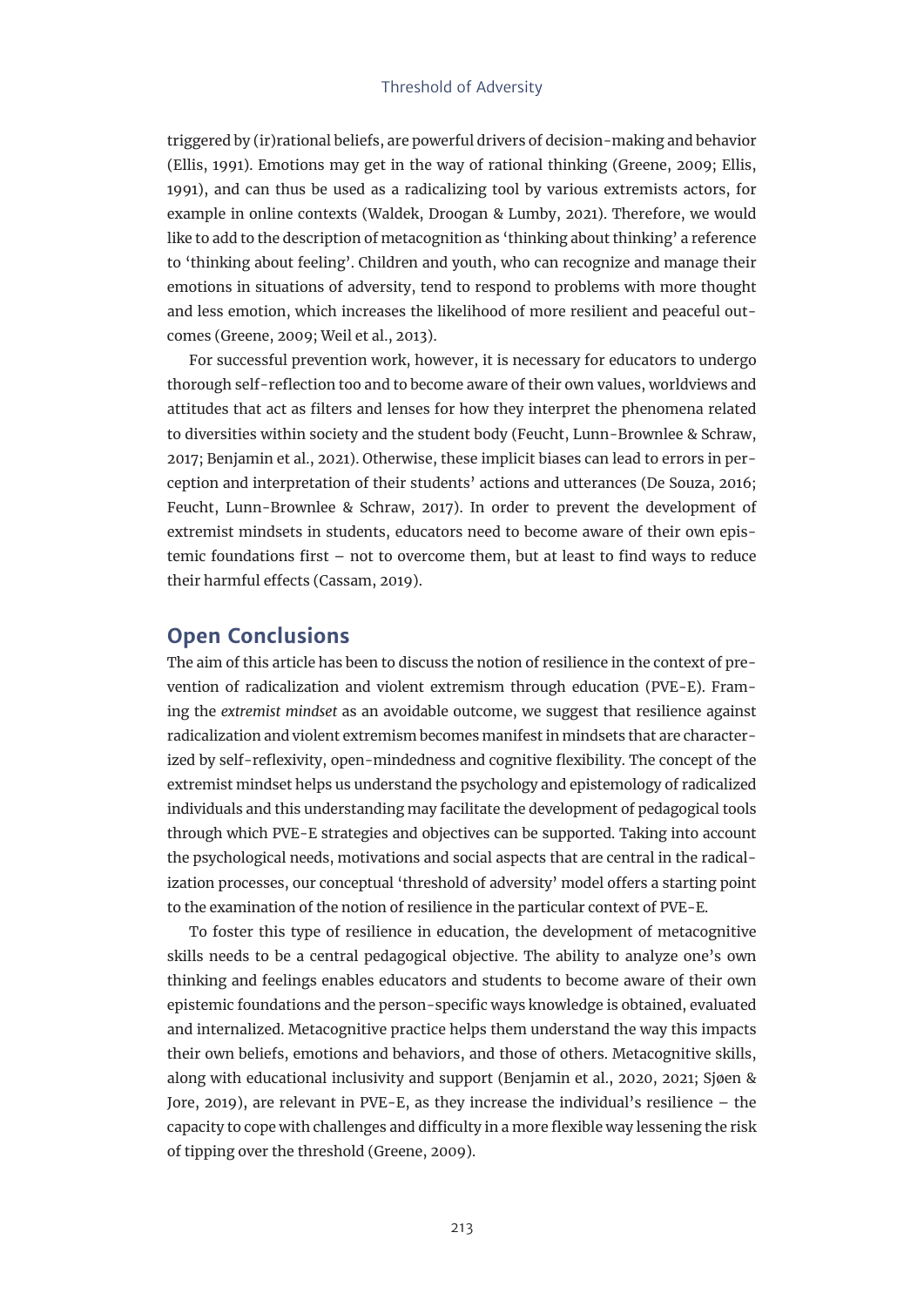triggered by (ir)rational beliefs, are powerful drivers of decision-making and behavior (Ellis, 1991). Emotions may get in the way of rational thinking (Greene, 2009; Ellis, 1991), and can thus be used as a radicalizing tool by various extremists actors, for example in online contexts (Waldek, Droogan & Lumby, 2021). Therefore, we would like to add to the description of metacognition as 'thinking about thinking' a reference to 'thinking about feeling'. Children and youth, who can recognize and manage their emotions in situations of adversity, tend to respond to problems with more thought and less emotion, which increases the likelihood of more resilient and peaceful outcomes (Greene, 2009; Weil et al., 2013).

For successful prevention work, however, it is necessary for educators to undergo thorough self-reflection too and to become aware of their own values, worldviews and attitudes that act as filters and lenses for how they interpret the phenomena related to diversities within society and the student body (Feucht, Lunn-Brownlee & Schraw, 2017; Benjamin et al., 2021). Otherwise, these implicit biases can lead to errors in perception and interpretation of their students' actions and utterances (De Souza, 2016; Feucht, Lunn-Brownlee & Schraw, 2017). In order to prevent the development of extremist mindsets in students, educators need to become aware of their own epistemic foundations first – not to overcome them, but at least to find ways to reduce their harmful effects (Cassam, 2019).

## **Open Conclusions**

The aim of this article has been to discuss the notion of resilience in the context of prevention of radicalization and violent extremism through education (PVE-E). Framing the *extremist mindset* as an avoidable outcome, we suggest that resilience against radicalization and violent extremism becomes manifest in mindsets that are characterized by self-reflexivity, open-mindedness and cognitive flexibility. The concept of the extremist mindset helps us understand the psychology and epistemology of radicalized individuals and this understanding may facilitate the development of pedagogical tools through which PVE-E strategies and objectives can be supported. Taking into account the psychological needs, motivations and social aspects that are central in the radicalization processes, our conceptual 'threshold of adversity' model offers a starting point to the examination of the notion of resilience in the particular context of PVE-E.

To foster this type of resilience in education, the development of metacognitive skills needs to be a central pedagogical objective. The ability to analyze one's own thinking and feelings enables educators and students to become aware of their own epistemic foundations and the person-specific ways knowledge is obtained, evaluated and internalized. Metacognitive practice helps them understand the way this impacts their own beliefs, emotions and behaviors, and those of others. Metacognitive skills, along with educational inclusivity and support (Benjamin et al., 2020, 2021; Sjøen & Jore, 2019), are relevant in PVE-E, as they increase the individual's resilience – the capacity to cope with challenges and difficulty in a more flexible way lessening the risk of tipping over the threshold (Greene, 2009).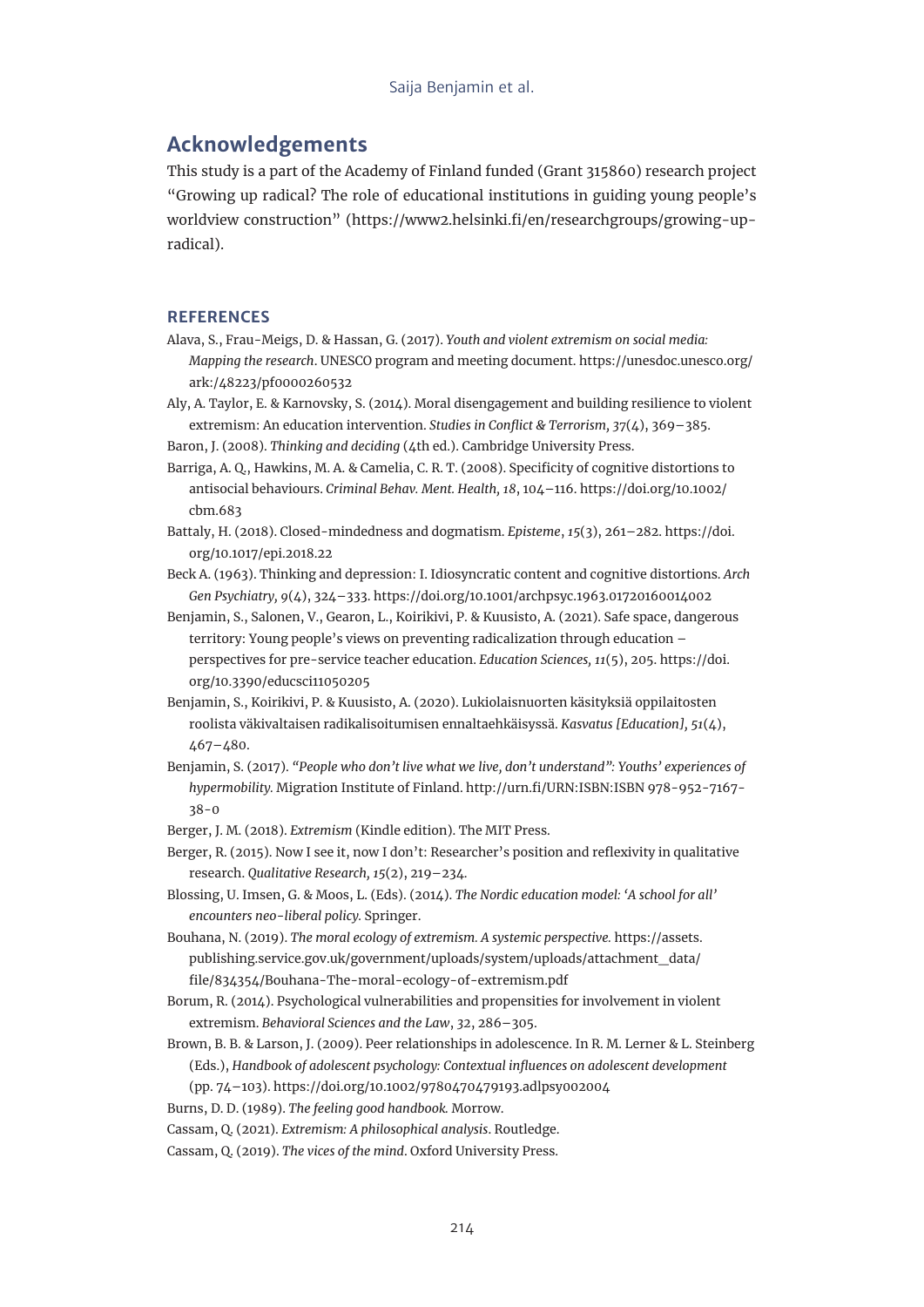# **Acknowledgements**

This study is a part of the Academy of Finland funded (Grant 315860) research project "Growing up radical? The role of educational institutions in guiding young people's worldview construction" (https://www2.helsinki.fi/en/researchgroups/growing-upradical).

#### **REFERENCES**

- Alava, S., Frau-Meigs, D. & Hassan, G. (2017). *Youth and violent extremism on social media: Mapping the research*. UNESCO program and meeting document. [https://unesdoc.unesco.org/](https://unesdoc.unesco.org/ark:/48223/pf0000260532) [ark:/48223/pf0000260532](https://unesdoc.unesco.org/ark:/48223/pf0000260532)
- Aly, A. Taylor, E. & Karnovsky, S. (2014). Moral disengagement and building resilience to violent extremism: An education intervention. *Studies in Conflict & Terrorism, 37*(4), 369–385.
- Baron, J. (2008). *Thinking and deciding* (4th ed.). Cambridge University Press.
- Barriga, A. Q., Hawkins, M. A. & Camelia, C. R. T. (2008). Specificity of cognitive distortions to antisocial behaviours. *Criminal Behav. Ment. Health, 18*, 104–116. [https://doi.org/10.1002/](https://doi.org/10.1002/cbm.683) [cbm.683](https://doi.org/10.1002/cbm.683)
- Battaly, H. (2018). Closed-mindedness and dogmatism. *Episteme*, *15*(3), 261–282[. https://doi.](https://doi.org/10.1017/epi.2018.22) [org/10.1017/epi.2018.22](https://doi.org/10.1017/epi.2018.22)
- Beck A. (1963). Thinking and depression: I. Idiosyncratic content and cognitive distortions. *Arch Gen Psychiatry, 9*(4), 324–333. https://doi.org/10.1001/archpsyc.1963.01720160014002
- Benjamin, S., Salonen, V., Gearon, L., Koirikivi, P. & Kuusisto, A. (2021). Safe space, dangerous territory: Young people's views on preventing radicalization through education – perspectives for pre-service teacher education. *Education Sciences, 11*(5), 205. [https://doi.](https://doi.org/10.3390/educsci11050205) [org/10.3390/educsci11050205](https://doi.org/10.3390/educsci11050205)
- Benjamin, S., Koirikivi, P. & Kuusisto, A. (2020). Lukiolaisnuorten käsityksiä oppilaitosten roolista väkivaltaisen radikalisoitumisen ennaltaehkäisyssä. *Kasvatus [Education], 51*(4), 467–480.
- Benjamin, S. (2017). *"People who don't live what we live, don't understand": Youths' experiences of hypermobility.* Migration Institute of Finland. [http://urn.fi/URN:ISBN:ISBN 978-952-7167-](http://urn.fi/URN:ISBN:ISBN 978-952-7167-38-0) [38-0](http://urn.fi/URN:ISBN:ISBN 978-952-7167-38-0)
- Berger, J. M. (2018). *Extremism* (Kindle edition). The MIT Press.
- Berger, R. (2015). Now I see it, now I don't: Researcher's position and reflexivity in qualitative research. *Qualitative Research, 15*(2), 219–234.
- Blossing, U. Imsen, G. & Moos, L. (Eds). (2014). *The Nordic education model: 'A school for all' encounters neo-liberal policy.* Springer.
- Bouhana, N. (2019). *The moral ecology of extremism. A systemic perspective.* [https://assets.](https://assets.publishing.service.gov.uk/government/uploads/system/uploads/attachment_data/file/834354/Bouhana-The-moral-ecology-of-extremism.pdf) [publishing.service.gov.uk/government/uploads/system/uploads/attachment\\_data/](https://assets.publishing.service.gov.uk/government/uploads/system/uploads/attachment_data/file/834354/Bouhana-The-moral-ecology-of-extremism.pdf) [file/834354/Bouhana-The-moral-ecology-of-extremism.pdf](https://assets.publishing.service.gov.uk/government/uploads/system/uploads/attachment_data/file/834354/Bouhana-The-moral-ecology-of-extremism.pdf)
- Borum, R. (2014). Psychological vulnerabilities and propensities for involvement in violent extremism. *Behavioral Sciences and the Law*, *32*, 286–305.
- Brown, B. B. & Larson, J. (2009). Peer relationships in adolescence. In R. M. Lerner & L. Steinberg (Eds.), *Handbook of adolescent psychology: Contextual influences on adolescent development*  (pp. 74–103). https://doi.org/10.1002/9780470479193.adlpsy002004
- Burns, D. D. (1989). *The feeling good handbook.* Morrow.
- Cassam, Q. (2021). *Extremism: A philosophical analysis*. Routledge.
- Cassam, Q. (2019). *The vices of the mind*. Oxford University Press.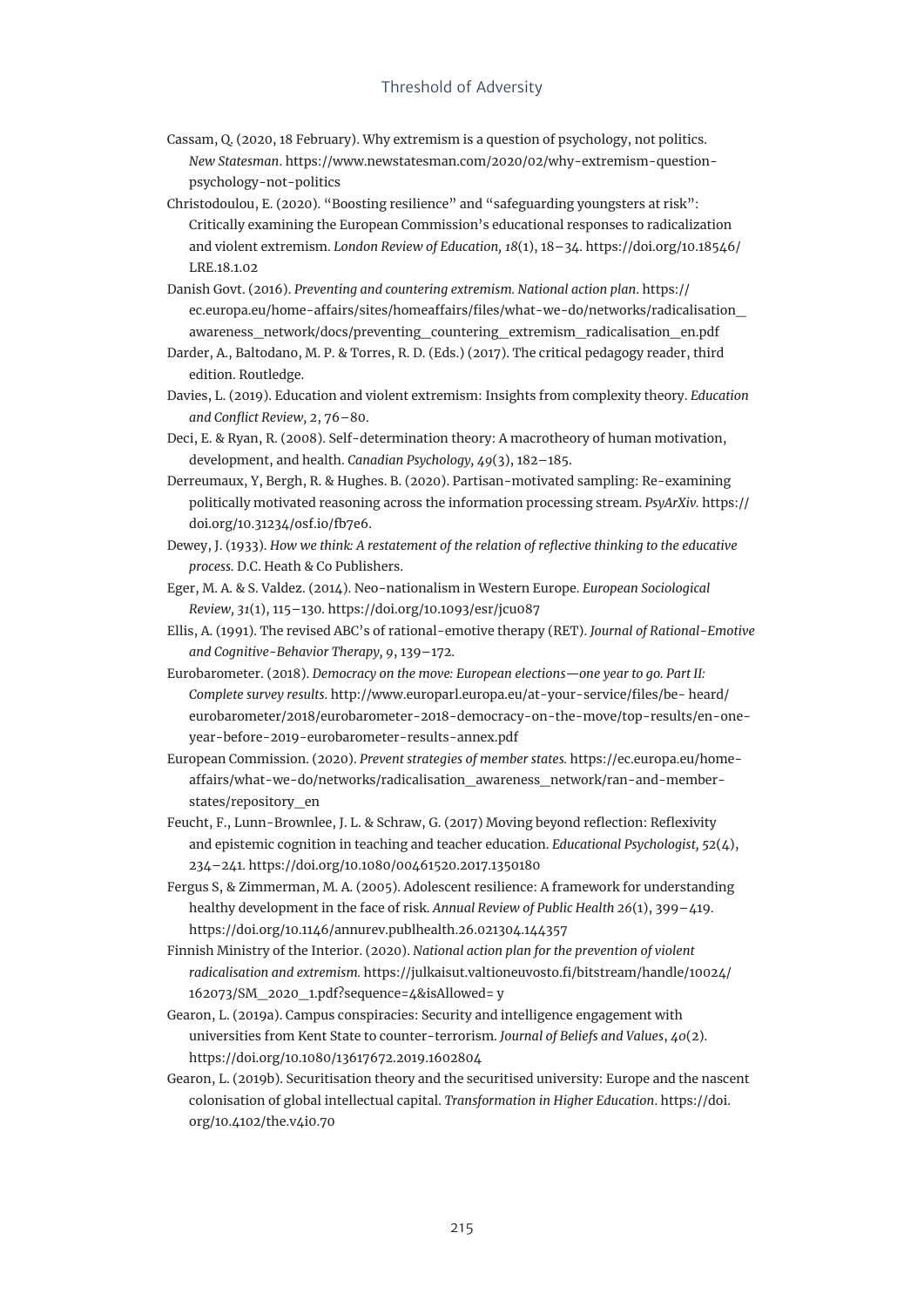- Cassam, Q. (2020, 18 February). Why extremism is a question of psychology, not politics. *New Statesman*. https://www.newstatesman.com/2020/02/why-extremism-questionpsychology-not-politics
- Christodoulou, E. (2020). "Boosting resilience" and "safeguarding youngsters at risk": Critically examining the European Commission's educational responses to radicalization and violent extremism. *London Review of Education, 18*(1), 18–34. [https://doi.org/10.18546/](https://doi.org/10.18546/LRE.18.1.02) [LRE.18.1.02](https://doi.org/10.18546/LRE.18.1.02)
- Danish Govt. (2016). *Preventing and countering extremism. National action plan*. [https://](https://ec.europa.eu/home-affairs/sites/homeaffairs/files/what-we-do/networks/radicalisation_awareness_network/docs/preventing_countering_extremism_radicalisation_en.pdf) [ec.europa.eu/home-affairs/sites/homeaffairs/files/what-we-do/networks/radicalisation\\_](https://ec.europa.eu/home-affairs/sites/homeaffairs/files/what-we-do/networks/radicalisation_awareness_network/docs/preventing_countering_extremism_radicalisation_en.pdf) [awareness\\_network/docs/preventing\\_countering\\_extremism\\_radicalisation\\_en.pdf](https://ec.europa.eu/home-affairs/sites/homeaffairs/files/what-we-do/networks/radicalisation_awareness_network/docs/preventing_countering_extremism_radicalisation_en.pdf)
- Darder, A., Baltodano, M. P. & Torres, R. D. (Eds.) (2017). The critical pedagogy reader, third edition. Routledge.
- Davies, L. (2019). Education and violent extremism: Insights from complexity theory. *Education and Conflict Review, 2*, 76–80.
- Deci, E. & Ryan, R. (2008). Self-determination theory: A macrotheory of human motivation, development, and health. *Canadian Psychology, 49*(3), 182–185.
- Derreumaux, Y, Bergh, R. & Hughes. B. (2020). Partisan-motivated sampling: Re-examining politically motivated reasoning across the information processing stream. *PsyArXiv.* [https://](https://doi.org/10.31234/osf.io/fb7e6) [doi.org/10.31234/osf.io/fb7e6.](https://doi.org/10.31234/osf.io/fb7e6)
- Dewey, J. (1933). *How we think: A restatement of the relation of reflective thinking to the educative process.* D.C. Heath & Co Publishers.
- Eger, M. A. & S. Valdez. (2014). Neo-nationalism in Western Europe. *European Sociological Review, 31*(1), 115–130. https://doi.org/10.1093/esr/jcu087
- Ellis, A. (1991). The revised ABC's of rational-emotive therapy (RET). *Journal of Rational-Emotive and Cognitive-Behavior Therapy, 9*, 139–172.
- Eurobarometer. (2018). *Democracy on the move: European elections—one year to go. Part II: Complete survey results*[. http://www.europarl.europa.eu/at-your-service/files/be- heard/](http://www.europarl.europa.eu/at-your-service/files/be-heard/eurobarometer/2018/eurobarometer-2018-democracy-on-the-move/top-results/en-oneyear-before-2019-eurobarometer-results-annex.pdf) [eurobarometer/2018/eurobarometer-2018-democracy-on-the-move/top-results/en-one](http://www.europarl.europa.eu/at-your-service/files/be-heard/eurobarometer/2018/eurobarometer-2018-democracy-on-the-move/top-results/en-oneyear-before-2019-eurobarometer-results-annex.pdf)[year-before-2019-eurobarometer-results-annex.pdf](http://www.europarl.europa.eu/at-your-service/files/be-heard/eurobarometer/2018/eurobarometer-2018-democracy-on-the-move/top-results/en-oneyear-before-2019-eurobarometer-results-annex.pdf)
- European Commission. (2020). *Prevent strategies of member states.* https://ec.europa.eu/homeaffairs/what-we-do/networks/radicalisation\_awareness\_network/ran-and-memberstates/repository\_en
- Feucht, F., Lunn-Brownlee, J. L. & Schraw, G. (2017) Moving beyond reflection: Reflexivity and epistemic cognition in teaching and teacher education. *Educational Psychologist, 52*(4), 234–241. https://doi.org/10.1080/00461520.2017.1350180
- Fergus S, & Zimmerman, M. A. (2005). Adolescent resilience: A framework for understanding healthy development in the face of risk. *Annual Review of Public Health 26*(1), 399–419. https://doi.org/10.1146/annurev.publhealth.26.021304.144357
- Finnish Ministry of the Interior. (2020). *National action plan for the prevention of violent radicalisation and extremism.* [https://julkaisut.valtioneuvosto.fi/bitstream/handle/10024/](https://julkaisut.valtioneuvosto.fi/bitstream/handle/10024/162073/SM_2020_1.pdf?sequence=4&isAllowed=y) [162073/SM\\_2020\\_1.pdf?sequence=4&isAllowed= y](https://julkaisut.valtioneuvosto.fi/bitstream/handle/10024/162073/SM_2020_1.pdf?sequence=4&isAllowed=y)
- Gearon, L. (2019a). Campus conspiracies: Security and intelligence engagement with universities from Kent State to counter-terrorism. *Journal of Beliefs and Values*, *40*(2). https://doi.org/10.1080/13617672.2019.1602804
- Gearon, L. (2019b). Securitisation theory and the securitised university: Europe and the nascent colonisation of global intellectual capital. *Transformation in Higher Education*. [https://doi.](https://doi.org/10.4102/the.v4i0.70) [org/10.4102/the.v4i0.70](https://doi.org/10.4102/the.v4i0.70)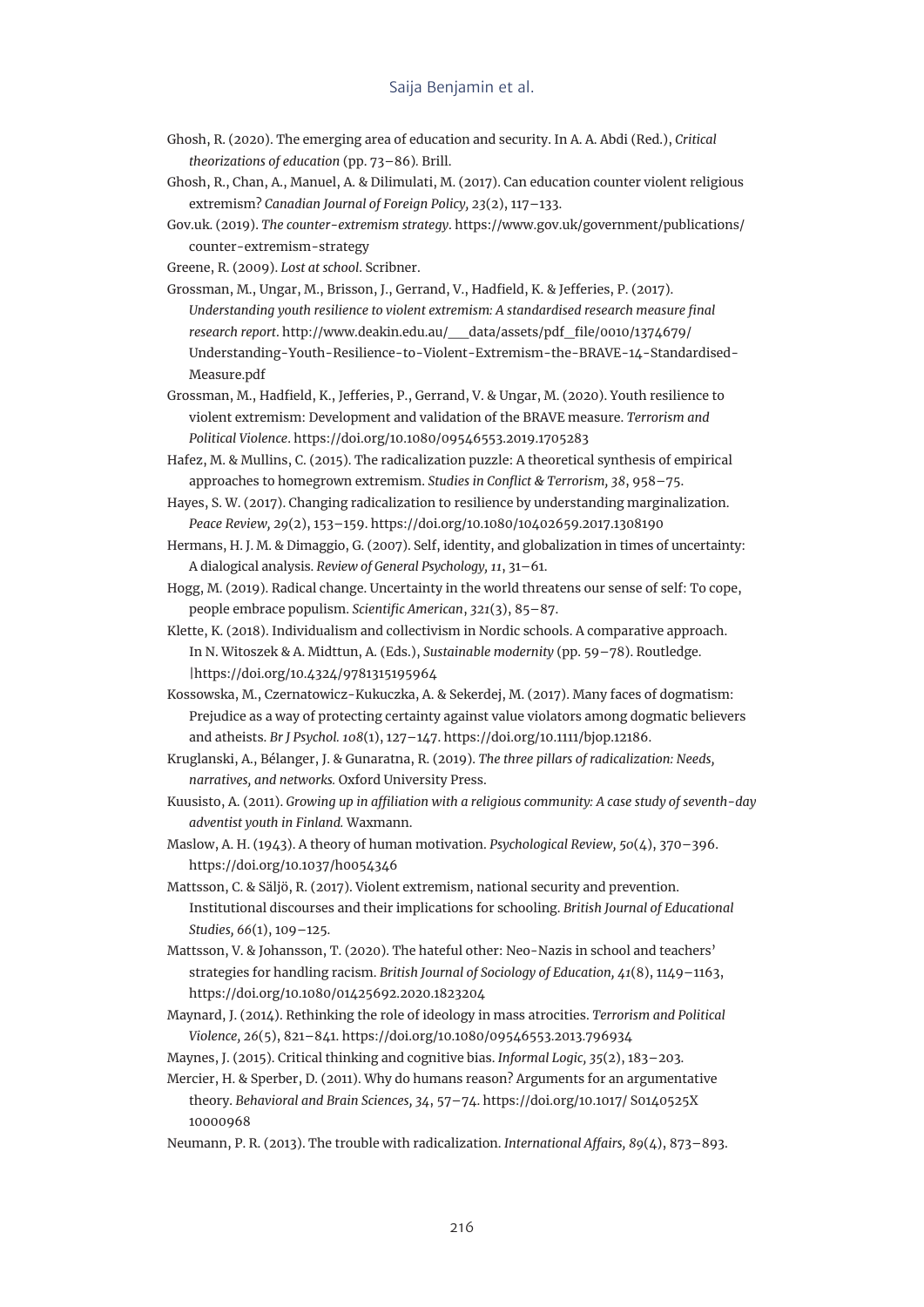- Ghosh, R. (2020). The emerging area of education and security. In A. A. Abdi (Red.), *Critical theorizations of education* (pp. 73–86)*.* Brill.
- Ghosh, R., Chan, A., Manuel, A. & Dilimulati, M. (2017). Can education counter violent religious extremism? *Canadian Journal of Foreign Policy, 23*(2), 117–133.
- Gov.uk. (2019). *The counter-extremism strategy*. [https://www.gov.uk/government/publications/](https://www.gov.uk/government/publications/counter-extremism-strategy) [counter-extremism-strategy](https://www.gov.uk/government/publications/counter-extremism-strategy)
- Greene, R. (2009). *Lost at school*. Scribner.
- Grossman, M., Ungar, M., Brisson, J., Gerrand, V., Hadfield, K. & Jefferies, P. (2017). *Understanding youth resilience to violent extremism: A standardised research measure final research report*. [http://www.deakin.edu.au/\\_\\_data/assets/pdf\\_file/0010/1374679/](http://www.deakin.edu.au/__data/assets/pdf_file/0010/1374679/Understanding-Youth-Resilience-to-Violent-Extremism-the-BRAVE-14-Standardised-Measure.pdf) [Understanding-Youth-Resilience-to-Violent-Extremism-the-BRAVE-14-Standardised-](http://www.deakin.edu.au/__data/assets/pdf_file/0010/1374679/Understanding-Youth-Resilience-to-Violent-Extremism-the-BRAVE-14-Standardised-Measure.pdf)[Measure.pdf](http://www.deakin.edu.au/__data/assets/pdf_file/0010/1374679/Understanding-Youth-Resilience-to-Violent-Extremism-the-BRAVE-14-Standardised-Measure.pdf)
- Grossman, M., Hadfield, K., Jefferies, P., Gerrand, V. & Ungar, M. (2020). Youth resilience to violent extremism: Development and validation of the BRAVE measure. *Terrorism and Political Violence*. https://doi.org/10.1080/09546553.2019.1705283
- Hafez, M. & Mullins, C. (2015). The radicalization puzzle: A theoretical synthesis of empirical approaches to homegrown extremism. *Studies in Conflict & Terrorism, 38*, 958–75.
- Hayes, S. W. (2017). Changing radicalization to resilience by understanding marginalization. *Peace Review, 29*(2), 153–159. https://doi.org/10.1080/10402659.2017.1308190
- Hermans, H. J. M. & Dimaggio, G. (2007). Self, identity, and globalization in times of uncertainty: A dialogical analysis. *Review of General Psychology, 11*, 31–61.
- Hogg, M. (2019). Radical change. Uncertainty in the world threatens our sense of self: To cope, people embrace populism. *Scientific American*, *321*(3), 85–87.
- Klette, K. (2018). Individualism and collectivism in Nordic schools. A comparative approach. In N. Witoszek & A. Midttun, A. (Eds.), *Sustainable modernity* (pp. 59–78). Routledge. |https://doi.org/10.4324/9781315195964
- Kossowska, M., Czernatowicz-Kukuczka, A. & Sekerdej, M. (2017). Many faces of dogmatism: Prejudice as a way of protecting certainty against value violators among dogmatic believers and atheists. *Br J Psychol. 108*(1), 127–147. https://doi.org/10.1111/bjop.12186.
- Kruglanski, A., Bélanger, J. & Gunaratna, R. (2019). *The three pillars of radicalization: Needs, narratives, and networks.* Oxford University Press.
- Kuusisto, A. (2011). *Growing up in affiliation with a religious community: A case study of seventh-day adventist youth in Finland.* Waxmann.
- Maslow, A. H. (1943). A theory of human motivation. *Psychological Review, 50*(4), 370–396. https://doi.org/10.1037/h0054346
- Mattsson, C. & Säljö, R. (2017). Violent extremism, national security and prevention. Institutional discourses and their implications for schooling. *British Journal of Educational Studies, 66*(1), 109–125.
- Mattsson, V. & Johansson, T. (2020). The hateful other: Neo-Nazis in school and teachers' strategies for handling racism. *British Journal of Sociology of Education, 41*(8), 1149–1163, https://doi.org/10.1080/01425692.2020.1823204
- Maynard, J. (2014). Rethinking the role of ideology in mass atrocities. *Terrorism and Political Violence, 26*(5), 821–841. https://doi.org/10.1080/09546553.2013.796934
- Maynes, J. (2015). Critical thinking and cognitive bias. *Informal Logic, 35*(2), 183–203.
- Mercier, H. & Sperber, D. (2011). Why do humans reason? Arguments for an argumentative theory. *Behavioral and Brain Sciences, 34*, 57–74. [https://doi.org/10.1017/ S0140525X](https://doi.org/10.1017/S0140525X10000968) [10000968](https://doi.org/10.1017/S0140525X10000968)
- Neumann, P. R. (2013). The trouble with radicalization. *International Affairs, 89*(4), 873–893.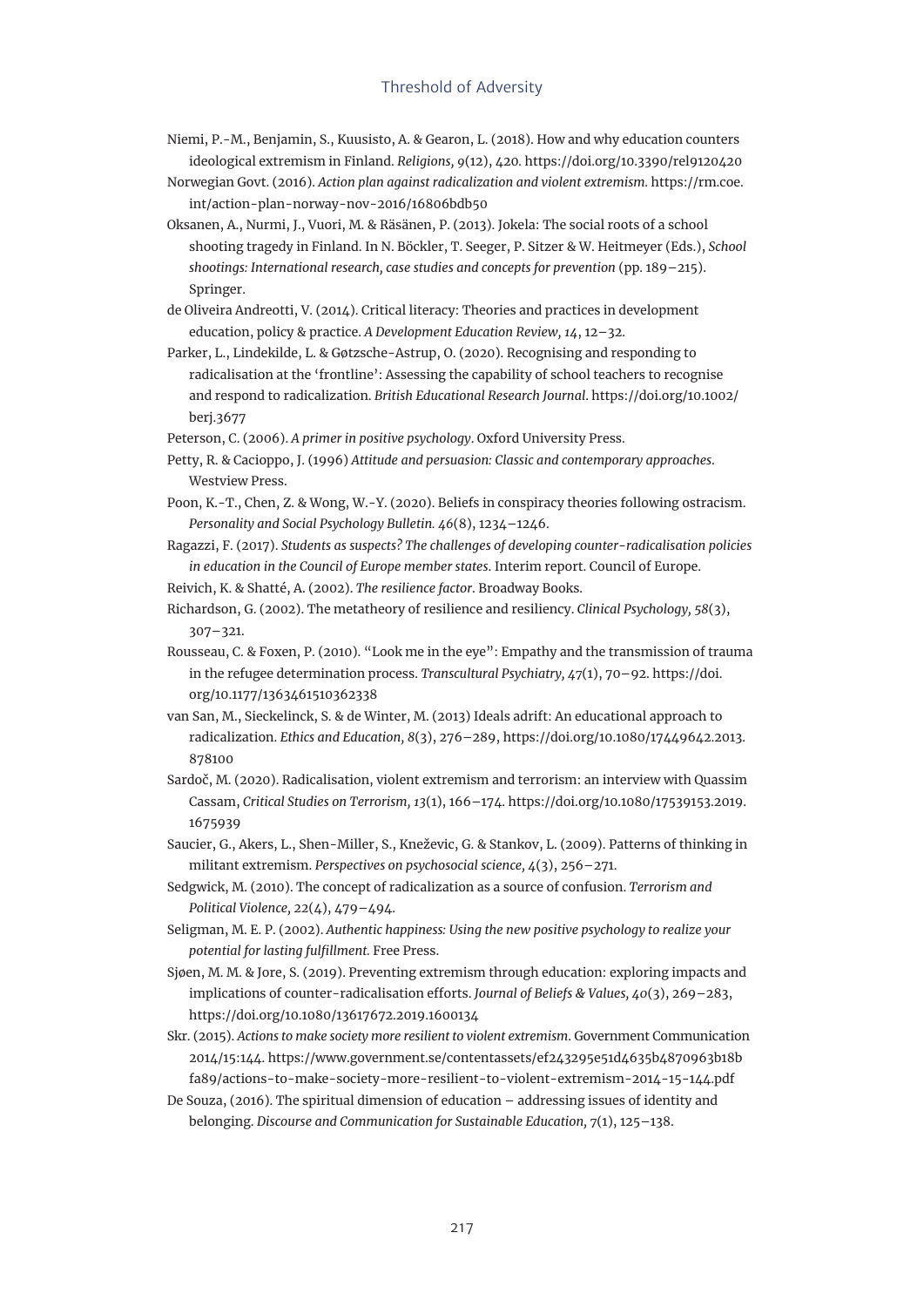- Niemi, P.-M., Benjamin, S., Kuusisto, A. & Gearon, L. (2018). How and why education counters ideological extremism in Finland. *Religions, 9*(12), 420*.* https://doi.org/10.3390/rel9120420
- Norwegian Govt. (2016). *Action plan against radicalization and violent extremism.* [https://rm.coe.](https://rm.coe.int/action-plan-norway-nov-2016/16806bdb50) [int/action-plan-norway-nov-2016/16806bdb50](https://rm.coe.int/action-plan-norway-nov-2016/16806bdb50)
- Oksanen, A., Nurmi, J., Vuori, M. & Räsänen, P. (2013). Jokela: The social roots of a school shooting tragedy in Finland. In N. Böckler, T. Seeger, P. Sitzer & W. Heitmeyer (Eds.), *School shootings: International research, case studies and concepts for prevention* (pp. 189–215). Springer.
- de Oliveira Andreotti, V. (2014). Critical literacy: Theories and practices in development education, policy & practice. *A Development Education Review, 14*, 12–32.
- Parker, L., Lindekilde, L. & Gøtzsche-Astrup, O. (2020). Recognising and responding to radicalisation at the 'frontline': Assessing the capability of school teachers to recognise and respond to radicalization. *British Educational Research Journal*. [https://doi.org/10.1002/](https://doi.org/10.1002/berj.3677) [berj.3677](https://doi.org/10.1002/berj.3677)

Peterson, C. (2006). *A primer in positive psychology*. Oxford University Press.

- Petty, R. & Cacioppo, J. (1996) *Attitude and persuasion: Classic and contemporary approaches*. Westview Press.
- Poon, K.-T., Chen, Z. & Wong, W.-Y. (2020). Beliefs in conspiracy theories following ostracism. *Personality and Social Psychology Bulletin. 46*(8), 1234–1246.
- Ragazzi, F. (2017). *Students as suspects? The challenges of developing counter-radicalisation policies in education in the Council of Europe member states*. Interim report. Council of Europe. Reivich, K. & Shatté, A. (2002). *The resilience factor*. Broadway Books.
- Richardson, G. (2002). The metatheory of resilience and resiliency. *Clinical Psychology, 58*(3), 307–321.
- Rousseau, C. & Foxen, P. (2010). "Look me in the eye": Empathy and the transmission of trauma in the refugee determination process. *Transcultural Psychiatry, 47*(1), 70–92. [https://doi.](https://doi.org/10.1177/1363461510362338) [org/10.1177/1363461510362338](https://doi.org/10.1177/1363461510362338)
- van San, M., Sieckelinck, S. & de Winter, M. (2013) Ideals adrift: An educational approach to radicalization. *Ethics and Education, 8*(3), 276–289, [https://doi.org/10.1080/17449642.2013.](https://doi.org/10.1080/17449642.2013.878100) [878100](https://doi.org/10.1080/17449642.2013.878100)
- Sardoč, M. (2020). Radicalisation, violent extremism and terrorism: an interview with Quassim Cassam, *Critical Studies on Terrorism, 13*(1), 166–174. [https://doi.org/10.1080/17539153.2019.](https://doi.org/10.1080/17539153.2019.1675939) [1675939](https://doi.org/10.1080/17539153.2019.1675939)
- Saucier, G., Akers, L., Shen-Miller, S., Kneževic, G. & Stankov, L. (2009). Patterns of thinking in militant extremism. *Perspectives on psychosocial science, 4*(3), 256–271.
- Sedgwick, M. (2010). The concept of radicalization as a source of confusion. *Terrorism and Political Violence, 22*(4), 479–494.
- Seligman, M. E. P. (2002). *Authentic happiness: Using the new positive psychology to realize your potential for lasting fulfillment.* Free Press.
- Sjøen, M. M. & Jore, S. (2019). Preventing extremism through education: exploring impacts and implications of counter-radicalisation efforts. *Journal of Beliefs & Values, 40*(3), 269–283, https://doi.org/10.1080/13617672.2019.1600134
- Skr. (2015). *Actions to make society more resilient to violent extremism*. Government Communication 2014/15:144. [https://www.government.se/contentassets/ef243295e51d4635b4870963b18b](https://www.government.se/contentassets/ef243295e51d4635b4870963b18bfa89/actions-to-make-society-more-resilient-to-violent-extremism-2014-15-144.pdf) [fa89/actions-to-make-society-more-resilient-to-violent-extremism-2014-15-144.pdf](https://www.government.se/contentassets/ef243295e51d4635b4870963b18bfa89/actions-to-make-society-more-resilient-to-violent-extremism-2014-15-144.pdf)
- De Souza, (2016). The spiritual dimension of education addressing issues of identity and belonging. *Discourse and Communication for Sustainable Education, 7*(1), 125–138.